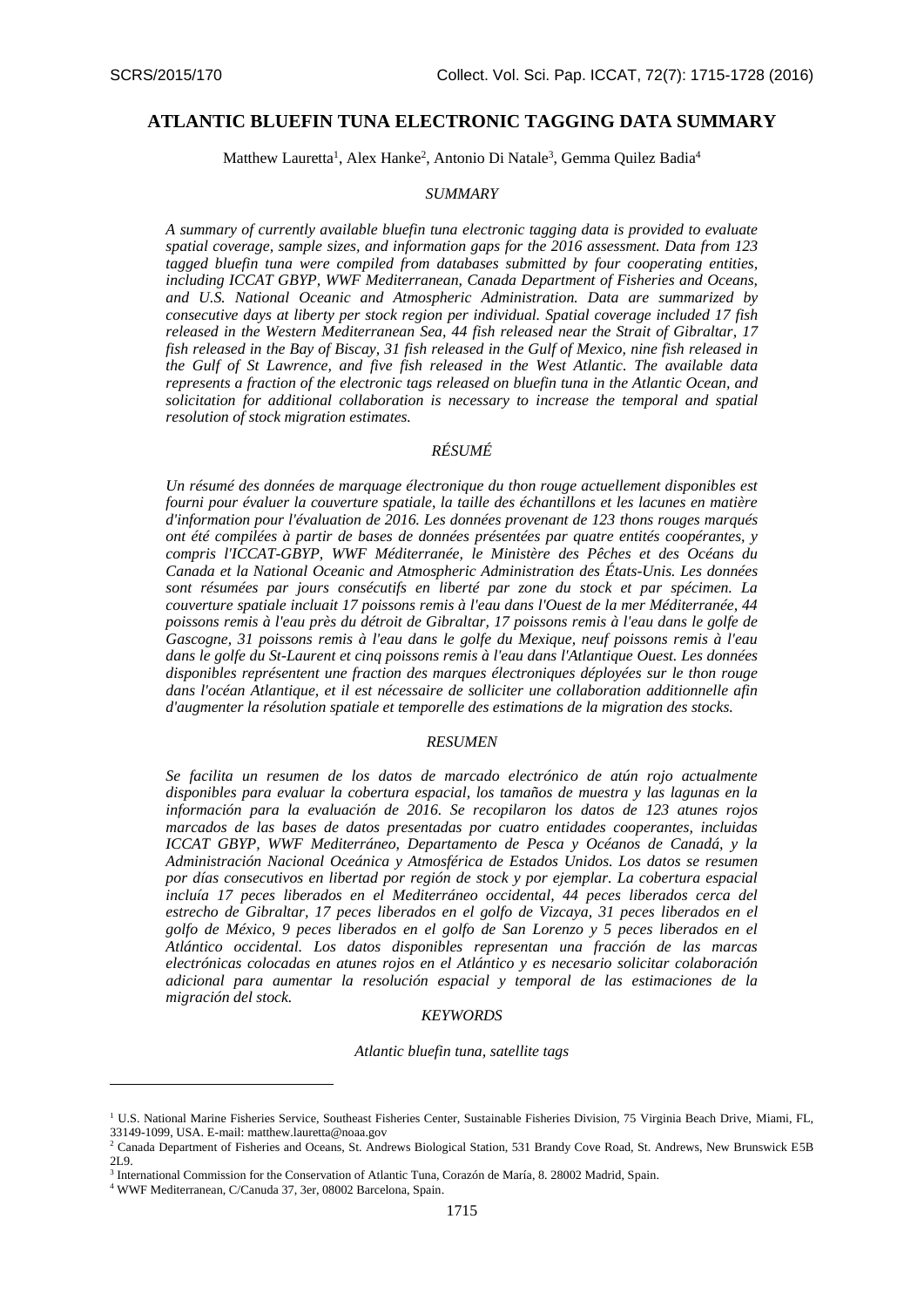## **ATLANTIC BLUEFIN TUNA ELECTRONIC TAGGING DATA SUMMARY**

Matthew Lauretta<sup>1</sup>, Alex Hanke<sup>2</sup>, Antonio Di Natale<sup>3</sup>, Gemma Quilez Badia<sup>4</sup>

## *SUMMARY*

*A summary of currently available bluefin tuna electronic tagging data is provided to evaluate spatial coverage, sample sizes, and information gaps for the 2016 assessment. Data from 123 tagged bluefin tuna were compiled from databases submitted by four cooperating entities, including ICCAT GBYP, WWF Mediterranean, Canada Department of Fisheries and Oceans, and U.S. National Oceanic and Atmospheric Administration. Data are summarized by consecutive days at liberty per stock region per individual. Spatial coverage included 17 fish released in the Western Mediterranean Sea, 44 fish released near the Strait of Gibraltar, 17 fish released in the Bay of Biscay, 31 fish released in the Gulf of Mexico, nine fish released in the Gulf of St Lawrence, and five fish released in the West Atlantic. The available data represents a fraction of the electronic tags released on bluefin tuna in the Atlantic Ocean, and solicitation for additional collaboration is necessary to increase the temporal and spatial resolution of stock migration estimates.*

# *RÉSUMÉ*

*Un résumé des données de marquage électronique du thon rouge actuellement disponibles est fourni pour évaluer la couverture spatiale, la taille des échantillons et les lacunes en matière d'information pour l'évaluation de 2016. Les données provenant de 123 thons rouges marqués ont été compilées à partir de bases de données présentées par quatre entités coopérantes, y compris l'ICCAT-GBYP, WWF Méditerranée, le Ministère des Pêches et des Océans du Canada et la National Oceanic and Atmospheric Administration des États-Unis. Les données sont résumées par jours consécutifs en liberté par zone du stock et par spécimen. La couverture spatiale incluait 17 poissons remis à l'eau dans l'Ouest de la mer Méditerranée, 44 poissons remis à l'eau près du détroit de Gibraltar, 17 poissons remis à l'eau dans le golfe de Gascogne, 31 poissons remis à l'eau dans le golfe du Mexique, neuf poissons remis à l'eau dans le golfe du St-Laurent et cinq poissons remis à l'eau dans l'Atlantique Ouest. Les données disponibles représentent une fraction des marques électroniques déployées sur le thon rouge dans l'océan Atlantique, et il est nécessaire de solliciter une collaboration additionnelle afin d'augmenter la résolution spatiale et temporelle des estimations de la migration des stocks.*

#### *RESUMEN*

*Se facilita un resumen de los datos de marcado electrónico de atún rojo actualmente disponibles para evaluar la cobertura espacial, los tamaños de muestra y las lagunas en la información para la evaluación de 2016. Se recopilaron los datos de 123 atunes rojos marcados de las bases de datos presentadas por cuatro entidades cooperantes, incluidas ICCAT GBYP, WWF Mediterráneo, Departamento de Pesca y Océanos de Canadá, y la Administración Nacional Oceánica y Atmosférica de Estados Unidos. Los datos se resumen por días consecutivos en libertad por región de stock y por ejemplar. La cobertura espacial incluía 17 peces liberados en el Mediterráneo occidental, 44 peces liberados cerca del estrecho de Gibraltar, 17 peces liberados en el golfo de Vizcaya, 31 peces liberados en el golfo de México, 9 peces liberados en el golfo de San Lorenzo y 5 peces liberados en el Atlántico occidental. Los datos disponibles representan una fracción de las marcas electrónicas colocadas en atunes rojos en el Atlántico y es necesario solicitar colaboración adicional para aumentar la resolución espacial y temporal de las estimaciones de la migración del stock.*

### *KEYWORDS*

*Atlantic bluefin tuna, satellite tags*

1

<sup>&</sup>lt;sup>1</sup> U.S. National Marine Fisheries Service, Southeast Fisheries Center, Sustainable Fisheries Division, 75 Virginia Beach Drive, Miami, FL, 33149-1099, USA. E-mail: matthew.lauretta@noaa.gov

<sup>2</sup> Canada Department of Fisheries and Oceans, St. Andrews Biological Station, 531 Brandy Cove Road, St. Andrews, New Brunswick E5B 2L9.

<sup>3</sup> International Commission for the Conservation of Atlantic Tuna, Corazón de María, 8. 28002 Madrid, Spain.

<sup>4</sup> WWF Mediterranean, C/Canuda 37, 3er, 08002 Barcelona, Spain.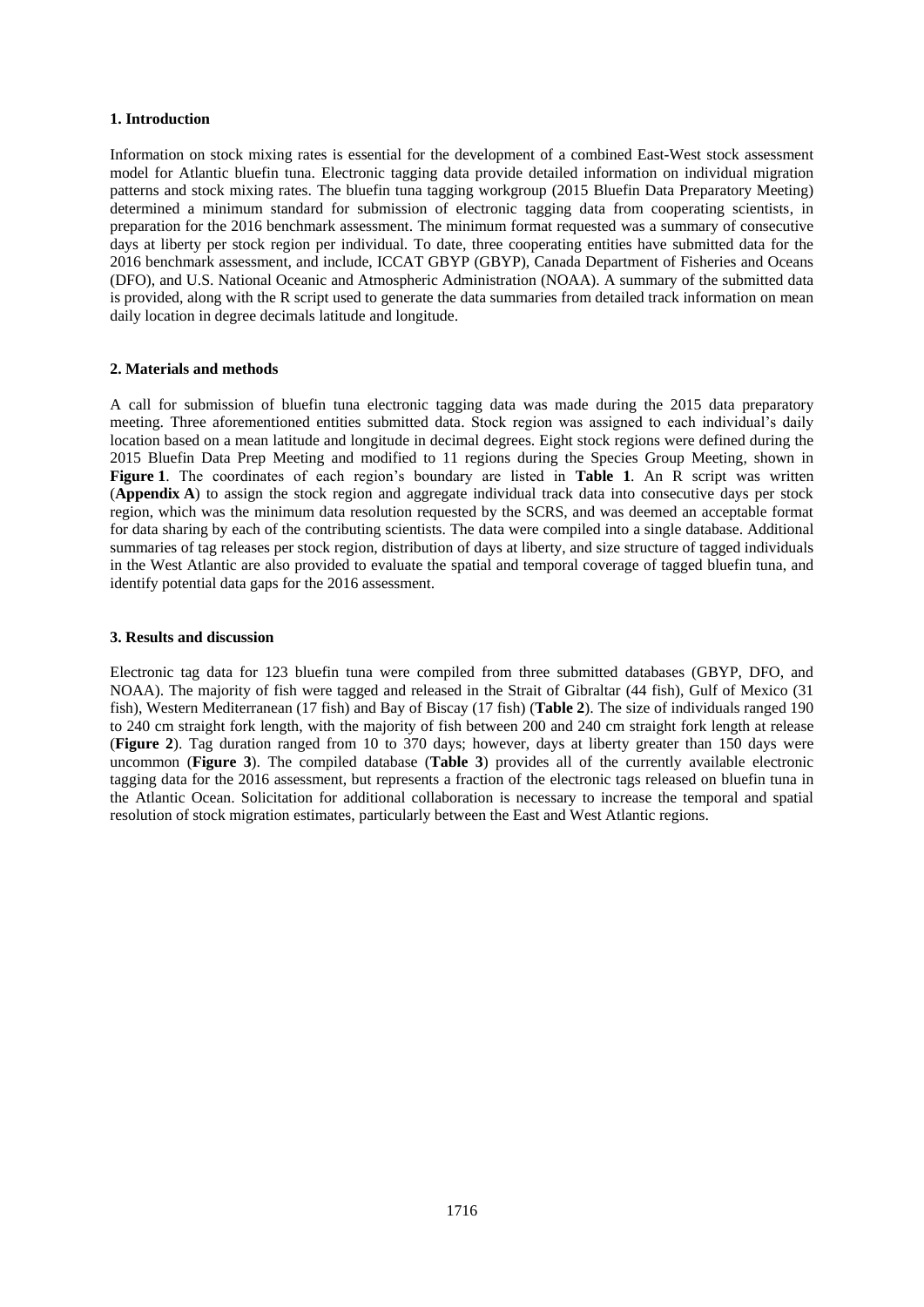## **1. Introduction**

Information on stock mixing rates is essential for the development of a combined East-West stock assessment model for Atlantic bluefin tuna. Electronic tagging data provide detailed information on individual migration patterns and stock mixing rates. The bluefin tuna tagging workgroup (2015 Bluefin Data Preparatory Meeting) determined a minimum standard for submission of electronic tagging data from cooperating scientists, in preparation for the 2016 benchmark assessment. The minimum format requested was a summary of consecutive days at liberty per stock region per individual. To date, three cooperating entities have submitted data for the 2016 benchmark assessment, and include, ICCAT GBYP (GBYP), Canada Department of Fisheries and Oceans (DFO), and U.S. National Oceanic and Atmospheric Administration (NOAA). A summary of the submitted data is provided, along with the R script used to generate the data summaries from detailed track information on mean daily location in degree decimals latitude and longitude.

#### **2. Materials and methods**

A call for submission of bluefin tuna electronic tagging data was made during the 2015 data preparatory meeting. Three aforementioned entities submitted data. Stock region was assigned to each individual's daily location based on a mean latitude and longitude in decimal degrees. Eight stock regions were defined during the 2015 Bluefin Data Prep Meeting and modified to 11 regions during the Species Group Meeting, shown in **Figure 1**. The coordinates of each region's boundary are listed in **Table 1**. An R script was written (**Appendix A**) to assign the stock region and aggregate individual track data into consecutive days per stock region, which was the minimum data resolution requested by the SCRS, and was deemed an acceptable format for data sharing by each of the contributing scientists. The data were compiled into a single database. Additional summaries of tag releases per stock region, distribution of days at liberty, and size structure of tagged individuals in the West Atlantic are also provided to evaluate the spatial and temporal coverage of tagged bluefin tuna, and identify potential data gaps for the 2016 assessment.

#### **3. Results and discussion**

Electronic tag data for 123 bluefin tuna were compiled from three submitted databases (GBYP, DFO, and NOAA). The majority of fish were tagged and released in the Strait of Gibraltar (44 fish), Gulf of Mexico (31 fish), Western Mediterranean (17 fish) and Bay of Biscay (17 fish) (**Table 2**). The size of individuals ranged 190 to 240 cm straight fork length, with the majority of fish between 200 and 240 cm straight fork length at release (**Figure 2**). Tag duration ranged from 10 to 370 days; however, days at liberty greater than 150 days were uncommon (**Figure 3**). The compiled database (**Table 3**) provides all of the currently available electronic tagging data for the 2016 assessment, but represents a fraction of the electronic tags released on bluefin tuna in the Atlantic Ocean. Solicitation for additional collaboration is necessary to increase the temporal and spatial resolution of stock migration estimates, particularly between the East and West Atlantic regions.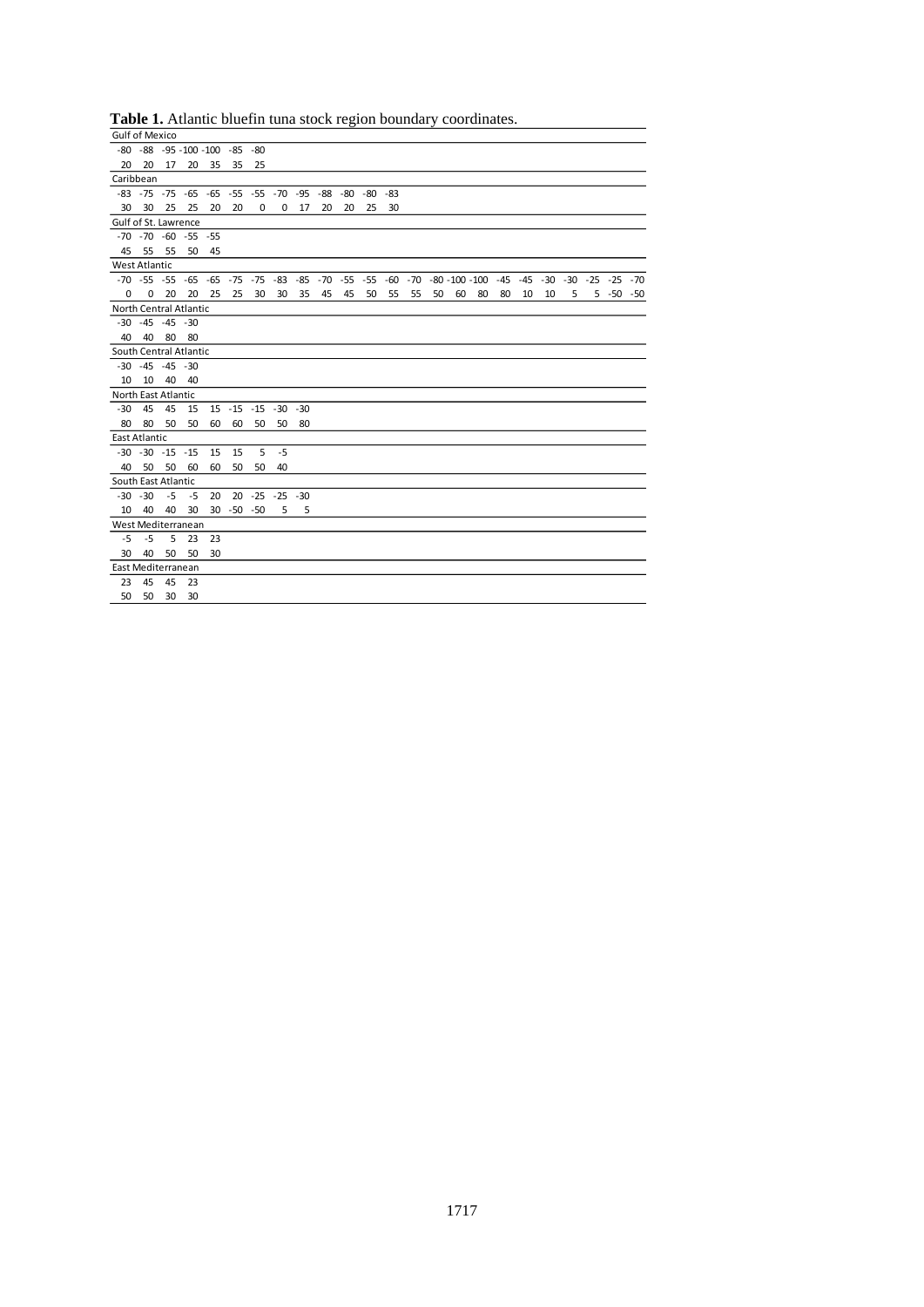| <b>Gulf of Mexico</b>  |                      |    |                                                    |    |                |                      |      |    |    |     |            |    |    |    |                                                                                                   |    |    |    |    |   |               |  |
|------------------------|----------------------|----|----------------------------------------------------|----|----------------|----------------------|------|----|----|-----|------------|----|----|----|---------------------------------------------------------------------------------------------------|----|----|----|----|---|---------------|--|
|                        |                      |    | -80 -88 -95 -100 -100 -85 -80                      |    |                |                      |      |    |    |     |            |    |    |    |                                                                                                   |    |    |    |    |   |               |  |
| 20                     | 20                   | 17 | 20                                                 | 35 | 35             | 25                   |      |    |    |     |            |    |    |    |                                                                                                   |    |    |    |    |   |               |  |
| Caribbean              |                      |    |                                                    |    |                |                      |      |    |    |     |            |    |    |    |                                                                                                   |    |    |    |    |   |               |  |
|                        |                      |    | $-83 - 75 - 75 - 65 - 65 - 55 - 55 - 70 - 95 - 88$ |    |                |                      |      |    |    | -80 | $-80 - 83$ |    |    |    |                                                                                                   |    |    |    |    |   |               |  |
| 30                     | - 30                 | 25 | 25                                                 | 20 | 20             | 0                    | 0    | 17 | 20 | 20  | 25         | 30 |    |    |                                                                                                   |    |    |    |    |   |               |  |
| Gulf of St. Lawrence   |                      |    |                                                    |    |                |                      |      |    |    |     |            |    |    |    |                                                                                                   |    |    |    |    |   |               |  |
|                        |                      |    | $-70$ $-70$ $-60$ $-55$ $-55$                      |    |                |                      |      |    |    |     |            |    |    |    |                                                                                                   |    |    |    |    |   |               |  |
|                        | 45 55                | 55 | 50                                                 | 45 |                |                      |      |    |    |     |            |    |    |    |                                                                                                   |    |    |    |    |   |               |  |
| <b>West Atlantic</b>   |                      |    |                                                    |    |                |                      |      |    |    |     |            |    |    |    |                                                                                                   |    |    |    |    |   |               |  |
|                        |                      |    |                                                    |    |                |                      |      |    |    |     |            |    |    |    | -70 -55 -55 -65 -65 -75 -75 -83 -85 -70 -55 -55 -60 -70 -80 -100 -100 -45 -45 -30 -30 -25 -25 -70 |    |    |    |    |   |               |  |
| $\Omega$               | 0                    | 20 | 20                                                 | 25 | 25             | 30                   | 30   | 35 | 45 | 45  | 50         | 55 | 55 | 50 | 60                                                                                                | 80 | 80 | 10 | 10 | 5 | $5 - 50 - 50$ |  |
| North Central Atlantic |                      |    |                                                    |    |                |                      |      |    |    |     |            |    |    |    |                                                                                                   |    |    |    |    |   |               |  |
|                        | $-30 - 45 - 45 - 30$ |    |                                                    |    |                |                      |      |    |    |     |            |    |    |    |                                                                                                   |    |    |    |    |   |               |  |
| 40                     | 40                   | 80 | 80                                                 |    |                |                      |      |    |    |     |            |    |    |    |                                                                                                   |    |    |    |    |   |               |  |
| South Central Atlantic |                      |    |                                                    |    |                |                      |      |    |    |     |            |    |    |    |                                                                                                   |    |    |    |    |   |               |  |
|                        | $-30 - 45 - 45 - 30$ |    |                                                    |    |                |                      |      |    |    |     |            |    |    |    |                                                                                                   |    |    |    |    |   |               |  |
| 10                     | 10                   | 40 | 40                                                 |    |                |                      |      |    |    |     |            |    |    |    |                                                                                                   |    |    |    |    |   |               |  |
| North East Atlantic    |                      |    |                                                    |    |                |                      |      |    |    |     |            |    |    |    |                                                                                                   |    |    |    |    |   |               |  |
| $-30$                  | 45                   | 45 | 15                                                 | 15 |                | $-15 - 15 - 30 - 30$ |      |    |    |     |            |    |    |    |                                                                                                   |    |    |    |    |   |               |  |
| 80                     | 80                   | 50 | 50                                                 | 60 | 60             | 50                   | 50   | 80 |    |     |            |    |    |    |                                                                                                   |    |    |    |    |   |               |  |
| <b>East Atlantic</b>   |                      |    |                                                    |    |                |                      |      |    |    |     |            |    |    |    |                                                                                                   |    |    |    |    |   |               |  |
|                        | $-30 - 30 - 15 - 15$ |    |                                                    | 15 | 15             | 5                    | $-5$ |    |    |     |            |    |    |    |                                                                                                   |    |    |    |    |   |               |  |
| 40                     | 50                   | 50 | 60                                                 | 60 | 50             | 50                   | 40   |    |    |     |            |    |    |    |                                                                                                   |    |    |    |    |   |               |  |
| South East Atlantic    |                      |    |                                                    |    |                |                      |      |    |    |     |            |    |    |    |                                                                                                   |    |    |    |    |   |               |  |
| $-30 - 30$             |                      |    | $-5 - 5$                                           | 20 |                | 20 -25 -25 -30       |      |    |    |     |            |    |    |    |                                                                                                   |    |    |    |    |   |               |  |
| 10                     | 40                   | 40 | 30                                                 |    | $30 - 50 - 50$ |                      | 5    | 5  |    |     |            |    |    |    |                                                                                                   |    |    |    |    |   |               |  |
| West Mediterranean     |                      |    |                                                    |    |                |                      |      |    |    |     |            |    |    |    |                                                                                                   |    |    |    |    |   |               |  |
| $-5$                   | $-5$                 | 5  | 23                                                 | 23 |                |                      |      |    |    |     |            |    |    |    |                                                                                                   |    |    |    |    |   |               |  |
| 30                     | 40                   | 50 | 50                                                 | 30 |                |                      |      |    |    |     |            |    |    |    |                                                                                                   |    |    |    |    |   |               |  |
| East Mediterranean     |                      |    |                                                    |    |                |                      |      |    |    |     |            |    |    |    |                                                                                                   |    |    |    |    |   |               |  |
| 23                     | 45                   | 45 | 23                                                 |    |                |                      |      |    |    |     |            |    |    |    |                                                                                                   |    |    |    |    |   |               |  |
| 50                     | 50                   | 30 | 30                                                 |    |                |                      |      |    |    |     |            |    |    |    |                                                                                                   |    |    |    |    |   |               |  |

**Table 1.** Atlantic bluefin tuna stock region boundary coordinates.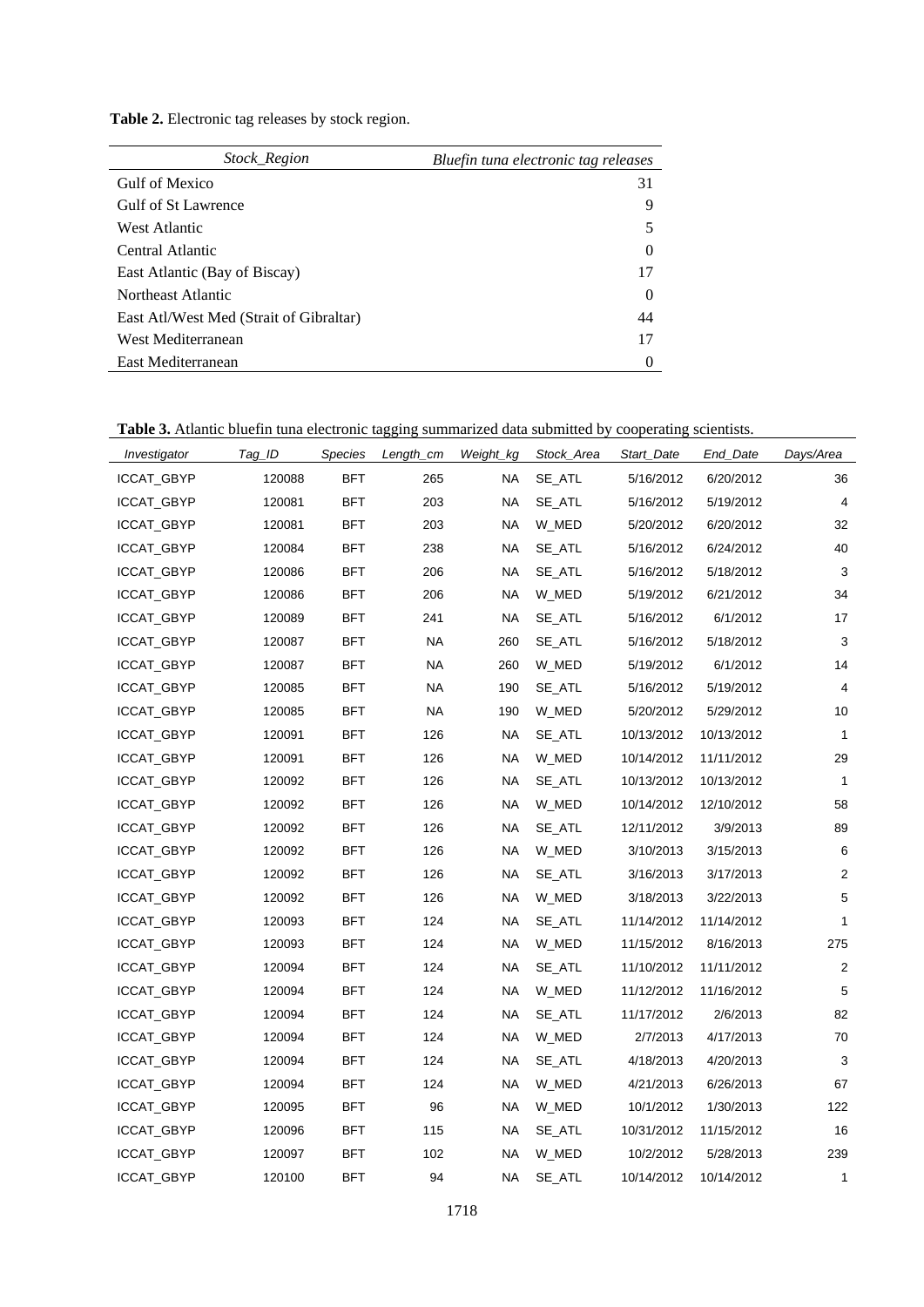**Table 2.** Electronic tag releases by stock region.

| <i>Stock Region</i>                     | Bluefin tuna electronic tag releases |
|-----------------------------------------|--------------------------------------|
| Gulf of Mexico                          | 31                                   |
| Gulf of St Lawrence                     | 9                                    |
| West Atlantic                           |                                      |
| Central Atlantic                        | $\theta$                             |
| East Atlantic (Bay of Biscay)           | 17                                   |
| Northeast Atlantic                      | $\theta$                             |
| East Atl/West Med (Strait of Gibraltar) | 44                                   |
| West Mediterranean                      | 17                                   |
| East Mediterranean                      |                                      |

**Table 3.** Atlantic bluefin tuna electronic tagging summarized data submitted by cooperating scientists.

| Investigator | Tag_ID | Species    | Length_cm | Weight_kg | Stock_Area | Start_Date | End_Date   | Days/Area      |
|--------------|--------|------------|-----------|-----------|------------|------------|------------|----------------|
| ICCAT_GBYP   | 120088 | <b>BFT</b> | 265       | NA        | SE_ATL     | 5/16/2012  | 6/20/2012  | 36             |
| ICCAT_GBYP   | 120081 | <b>BFT</b> | 203       | <b>NA</b> | SE_ATL     | 5/16/2012  | 5/19/2012  | $\overline{4}$ |
| ICCAT_GBYP   | 120081 | <b>BFT</b> | 203       | <b>NA</b> | W_MED      | 5/20/2012  | 6/20/2012  | 32             |
| ICCAT_GBYP   | 120084 | <b>BFT</b> | 238       | <b>NA</b> | SE_ATL     | 5/16/2012  | 6/24/2012  | 40             |
| ICCAT_GBYP   | 120086 | <b>BFT</b> | 206       | <b>NA</b> | SE ATL     | 5/16/2012  | 5/18/2012  | 3              |
| ICCAT_GBYP   | 120086 | <b>BFT</b> | 206       | NA        | W_MED      | 5/19/2012  | 6/21/2012  | 34             |
| ICCAT_GBYP   | 120089 | <b>BFT</b> | 241       | <b>NA</b> | SE_ATL     | 5/16/2012  | 6/1/2012   | 17             |
| ICCAT_GBYP   | 120087 | <b>BFT</b> | NA        | 260       | SE_ATL     | 5/16/2012  | 5/18/2012  | 3              |
| ICCAT_GBYP   | 120087 | <b>BFT</b> | <b>NA</b> | 260       | W_MED      | 5/19/2012  | 6/1/2012   | 14             |
| ICCAT_GBYP   | 120085 | <b>BFT</b> | NA        | 190       | SE_ATL     | 5/16/2012  | 5/19/2012  | 4              |
| ICCAT_GBYP   | 120085 | <b>BFT</b> | <b>NA</b> | 190       | W_MED      | 5/20/2012  | 5/29/2012  | 10             |
| ICCAT_GBYP   | 120091 | <b>BFT</b> | 126       | <b>NA</b> | SE_ATL     | 10/13/2012 | 10/13/2012 | $\mathbf{1}$   |
| ICCAT_GBYP   | 120091 | <b>BFT</b> | 126       | <b>NA</b> | W_MED      | 10/14/2012 | 11/11/2012 | 29             |
| ICCAT_GBYP   | 120092 | <b>BFT</b> | 126       | <b>NA</b> | SE_ATL     | 10/13/2012 | 10/13/2012 | $\mathbf{1}$   |
| ICCAT_GBYP   | 120092 | <b>BFT</b> | 126       | NA        | W_MED      | 10/14/2012 | 12/10/2012 | 58             |
| ICCAT_GBYP   | 120092 | <b>BFT</b> | 126       | <b>NA</b> | SE_ATL     | 12/11/2012 | 3/9/2013   | 89             |
| ICCAT_GBYP   | 120092 | <b>BFT</b> | 126       | NA        | W_MED      | 3/10/2013  | 3/15/2013  | 6              |
| ICCAT_GBYP   | 120092 | <b>BFT</b> | 126       | <b>NA</b> | SE_ATL     | 3/16/2013  | 3/17/2013  | 2              |
| ICCAT_GBYP   | 120092 | <b>BFT</b> | 126       | <b>NA</b> | W_MED      | 3/18/2013  | 3/22/2013  | 5              |
| ICCAT_GBYP   | 120093 | <b>BFT</b> | 124       | <b>NA</b> | SE_ATL     | 11/14/2012 | 11/14/2012 | $\mathbf{1}$   |
| ICCAT_GBYP   | 120093 | <b>BFT</b> | 124       | <b>NA</b> | W_MED      | 11/15/2012 | 8/16/2013  | 275            |
| ICCAT_GBYP   | 120094 | <b>BFT</b> | 124       | <b>NA</b> | SE_ATL     | 11/10/2012 | 11/11/2012 | 2              |
| ICCAT_GBYP   | 120094 | <b>BFT</b> | 124       | <b>NA</b> | W MED      | 11/12/2012 | 11/16/2012 | 5              |
| ICCAT_GBYP   | 120094 | <b>BFT</b> | 124       | NA        | SE_ATL     | 11/17/2012 | 2/6/2013   | 82             |
| ICCAT_GBYP   | 120094 | <b>BFT</b> | 124       | <b>NA</b> | W_MED      | 2/7/2013   | 4/17/2013  | 70             |
| ICCAT_GBYP   | 120094 | <b>BFT</b> | 124       | NA        | SE_ATL     | 4/18/2013  | 4/20/2013  | 3              |
| ICCAT_GBYP   | 120094 | <b>BFT</b> | 124       | <b>NA</b> | W_MED      | 4/21/2013  | 6/26/2013  | 67             |
| ICCAT_GBYP   | 120095 | BFT        | 96        | NA        | W_MED      | 10/1/2012  | 1/30/2013  | 122            |
| ICCAT_GBYP   | 120096 | <b>BFT</b> | 115       | <b>NA</b> | SE_ATL     | 10/31/2012 | 11/15/2012 | 16             |
| ICCAT_GBYP   | 120097 | BFT        | 102       | <b>NA</b> | W_MED      | 10/2/2012  | 5/28/2013  | 239            |
| ICCAT_GBYP   | 120100 | <b>BFT</b> | 94        | NA        | SE_ATL     | 10/14/2012 | 10/14/2012 | $\mathbf{1}$   |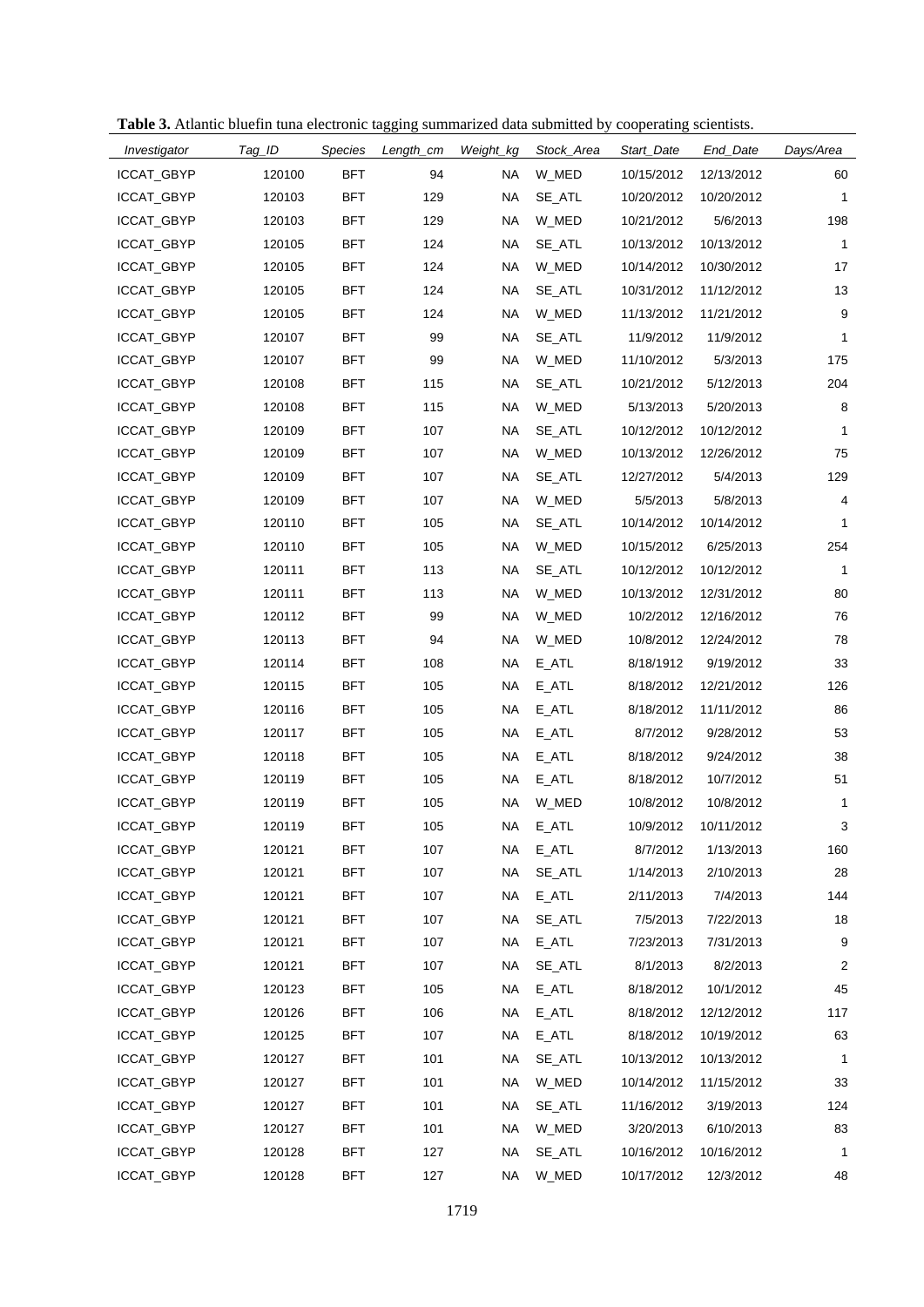|  |  |  |  |  |  | Table 3. Atlantic bluefin tuna electronic tagging summarized data submitted by cooperating scientists |  |  |
|--|--|--|--|--|--|-------------------------------------------------------------------------------------------------------|--|--|
|--|--|--|--|--|--|-------------------------------------------------------------------------------------------------------|--|--|

| Investigator      | Tag_ID | Species    | Length_cm | Weight_kg | Stock_Area          | Start_Date | End_Date   | Days/Area      |
|-------------------|--------|------------|-----------|-----------|---------------------|------------|------------|----------------|
| ICCAT_GBYP        | 120100 | <b>BFT</b> | 94        | <b>NA</b> | W_MED               | 10/15/2012 | 12/13/2012 | 60             |
| ICCAT_GBYP        | 120103 | <b>BFT</b> | 129       | <b>NA</b> | SE ATL              | 10/20/2012 | 10/20/2012 | 1              |
| ICCAT_GBYP        | 120103 | <b>BFT</b> | 129       | ΝA        | W_MED               | 10/21/2012 | 5/6/2013   | 198            |
| ICCAT_GBYP        | 120105 | <b>BFT</b> | 124       | <b>NA</b> | SE ATL              | 10/13/2012 | 10/13/2012 | $\mathbf{1}$   |
| ICCAT_GBYP        | 120105 | <b>BFT</b> | 124       | <b>NA</b> | W_MED               | 10/14/2012 | 10/30/2012 | 17             |
| ICCAT_GBYP        | 120105 | <b>BFT</b> | 124       | <b>NA</b> | SE_ATL              | 10/31/2012 | 11/12/2012 | 13             |
| ICCAT_GBYP        | 120105 | <b>BFT</b> | 124       | <b>NA</b> | W_MED               | 11/13/2012 | 11/21/2012 | 9              |
| ICCAT_GBYP        | 120107 | <b>BFT</b> | 99        | <b>NA</b> | SE ATL              | 11/9/2012  | 11/9/2012  | 1              |
| ICCAT_GBYP        | 120107 | <b>BFT</b> | 99        | <b>NA</b> | W_MED               | 11/10/2012 | 5/3/2013   | 175            |
| ICCAT_GBYP        | 120108 | <b>BFT</b> | 115       | <b>NA</b> | SE_ATL              | 10/21/2012 | 5/12/2013  | 204            |
| ICCAT_GBYP        | 120108 | <b>BFT</b> | 115       | <b>NA</b> | W_MED               | 5/13/2013  | 5/20/2013  | 8              |
| ICCAT_GBYP        | 120109 | <b>BFT</b> | 107       | <b>NA</b> | SE_ATL              | 10/12/2012 | 10/12/2012 | 1              |
| ICCAT_GBYP        | 120109 | <b>BFT</b> | 107       | <b>NA</b> | W_MED               | 10/13/2012 | 12/26/2012 | 75             |
| ICCAT_GBYP        | 120109 | <b>BFT</b> | 107       | <b>NA</b> | SE ATL              | 12/27/2012 | 5/4/2013   | 129            |
| ICCAT_GBYP        | 120109 | <b>BFT</b> | 107       | ΝA        | W_MED               | 5/5/2013   | 5/8/2013   | 4              |
| ICCAT_GBYP        | 120110 | <b>BFT</b> | 105       | <b>NA</b> | SE ATL              | 10/14/2012 | 10/14/2012 | 1              |
| ICCAT_GBYP        | 120110 | <b>BFT</b> | 105       | <b>NA</b> | W_MED               | 10/15/2012 | 6/25/2013  | 254            |
| ICCAT_GBYP        | 120111 | <b>BFT</b> | 113       | <b>NA</b> | SE_ATL              | 10/12/2012 | 10/12/2012 | 1              |
| ICCAT_GBYP        | 120111 | <b>BFT</b> | 113       | <b>NA</b> | W_MED               | 10/13/2012 | 12/31/2012 | 80             |
| ICCAT_GBYP        | 120112 | <b>BFT</b> | 99        | <b>NA</b> | W_MED               | 10/2/2012  | 12/16/2012 | 76             |
| ICCAT_GBYP        | 120113 | <b>BFT</b> | 94        | <b>NA</b> | W_MED               | 10/8/2012  | 12/24/2012 | 78             |
| ICCAT_GBYP        | 120114 | <b>BFT</b> | 108       | <b>NA</b> | E_ATL               | 8/18/1912  | 9/19/2012  | 33             |
| ICCAT_GBYP        | 120115 | <b>BFT</b> | 105       | <b>NA</b> | $E$ <sub>_ATL</sub> | 8/18/2012  | 12/21/2012 | 126            |
| ICCAT_GBYP        | 120116 | <b>BFT</b> | 105       | <b>NA</b> | E_ATL               | 8/18/2012  | 11/11/2012 | 86             |
| ICCAT_GBYP        | 120117 | <b>BFT</b> | 105       | <b>NA</b> | E_ATL               | 8/7/2012   | 9/28/2012  | 53             |
| ICCAT_GBYP        | 120118 | <b>BFT</b> | 105       | <b>NA</b> | E_ATL               | 8/18/2012  | 9/24/2012  | 38             |
| ICCAT_GBYP        | 120119 | <b>BFT</b> | 105       | <b>NA</b> | $E$ <sub>_ATL</sub> | 8/18/2012  | 10/7/2012  | 51             |
| ICCAT_GBYP        | 120119 | <b>BFT</b> | 105       | <b>NA</b> | W_MED               | 10/8/2012  | 10/8/2012  | 1              |
| ICCAT_GBYP        | 120119 | <b>BFT</b> | 105       | ΝA        | E_ATL               | 10/9/2012  | 10/11/2012 | 3              |
| ICCAT_GBYP        | 120121 | <b>BFT</b> | 107       | <b>NA</b> | $E_ATL$             | 8/7/2012   | 1/13/2013  | 160            |
| <b>ICCAT GBYP</b> | 120121 | <b>BFT</b> | 107       | <b>NA</b> | SE_ATL              | 1/14/2013  | 2/10/2013  | 28             |
| ICCAT_GBYP        | 120121 | <b>BFT</b> | 107       | <b>NA</b> | $E_ATL$             | 2/11/2013  | 7/4/2013   | 144            |
| ICCAT_GBYP        | 120121 | <b>BFT</b> | 107       | ΝA        | SE_ATL              | 7/5/2013   | 7/22/2013  | 18             |
| ICCAT_GBYP        | 120121 | <b>BFT</b> | 107       | <b>NA</b> | $E_ATL$             | 7/23/2013  | 7/31/2013  | 9              |
| ICCAT_GBYP        | 120121 | <b>BFT</b> | 107       | ΝA        | SE_ATL              | 8/1/2013   | 8/2/2013   | $\overline{2}$ |
| ICCAT_GBYP        | 120123 | <b>BFT</b> | 105       | <b>NA</b> | $E_ATL$             | 8/18/2012  | 10/1/2012  | 45             |
| ICCAT_GBYP        | 120126 | <b>BFT</b> | 106       | ΝA        | $E_ATL$             | 8/18/2012  | 12/12/2012 | 117            |
| ICCAT_GBYP        | 120125 | <b>BFT</b> | 107       | <b>NA</b> | $E_ATL$             | 8/18/2012  | 10/19/2012 | 63             |
| ICCAT_GBYP        | 120127 | <b>BFT</b> | 101       | <b>NA</b> | SE_ATL              | 10/13/2012 | 10/13/2012 | 1              |
| ICCAT_GBYP        | 120127 | <b>BFT</b> | 101       | <b>NA</b> | W_MED               | 10/14/2012 | 11/15/2012 | 33             |
| ICCAT_GBYP        | 120127 | <b>BFT</b> | 101       | ΝA        | SE_ATL              | 11/16/2012 | 3/19/2013  | 124            |
| ICCAT_GBYP        | 120127 | <b>BFT</b> | 101       | <b>NA</b> | W_MED               | 3/20/2013  | 6/10/2013  | 83             |
| ICCAT_GBYP        | 120128 | <b>BFT</b> | 127       | <b>NA</b> | SE_ATL              | 10/16/2012 | 10/16/2012 | 1              |
| ICCAT_GBYP        | 120128 | <b>BFT</b> | 127       | <b>NA</b> | W_MED               | 10/17/2012 | 12/3/2012  | 48             |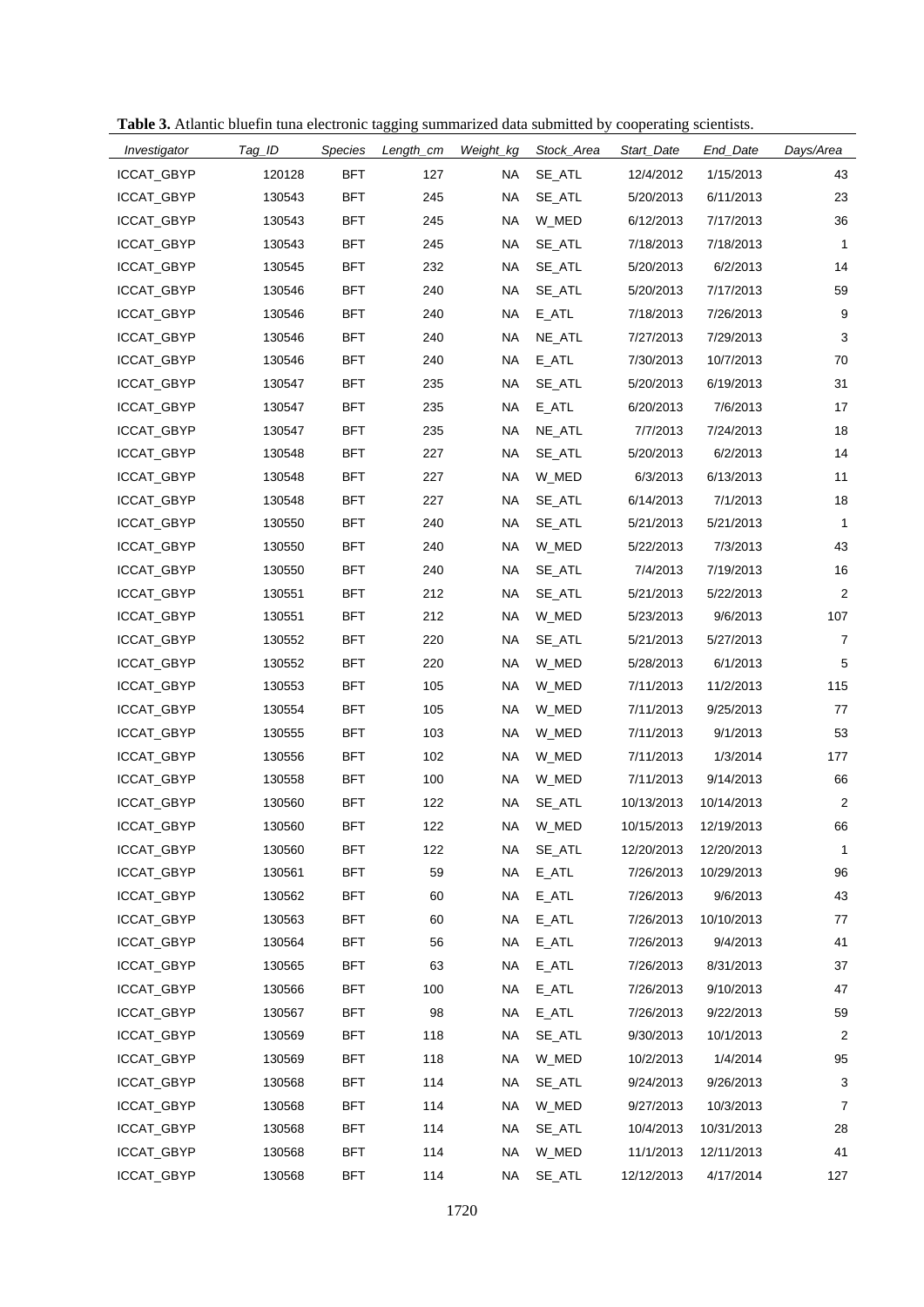|  |  |  |  |  |  | Table 3. Atlantic bluefin tuna electronic tagging summarized data submitted by cooperating scientists |  |  |
|--|--|--|--|--|--|-------------------------------------------------------------------------------------------------------|--|--|
|--|--|--|--|--|--|-------------------------------------------------------------------------------------------------------|--|--|

| Investigator      | Tag_ID | Species    | Length_cm | Weight_kg | Stock_Area          | Start_Date | End_Date   | Days/Area      |
|-------------------|--------|------------|-----------|-----------|---------------------|------------|------------|----------------|
| ICCAT_GBYP        | 120128 | <b>BFT</b> | 127       | ΝA        | SE_ATL              | 12/4/2012  | 1/15/2013  | 43             |
| ICCAT_GBYP        | 130543 | <b>BFT</b> | 245       | <b>NA</b> | SE ATL              | 5/20/2013  | 6/11/2013  | 23             |
| ICCAT_GBYP        | 130543 | <b>BFT</b> | 245       | <b>NA</b> | W_MED               | 6/12/2013  | 7/17/2013  | 36             |
| ICCAT_GBYP        | 130543 | <b>BFT</b> | 245       | <b>NA</b> | SE_ATL              | 7/18/2013  | 7/18/2013  | $\mathbf{1}$   |
| ICCAT_GBYP        | 130545 | <b>BFT</b> | 232       | <b>NA</b> | SE_ATL              | 5/20/2013  | 6/2/2013   | 14             |
| ICCAT_GBYP        | 130546 | <b>BFT</b> | 240       | <b>NA</b> | SE_ATL              | 5/20/2013  | 7/17/2013  | 59             |
| ICCAT_GBYP        | 130546 | <b>BFT</b> | 240       | <b>NA</b> | E_ATL               | 7/18/2013  | 7/26/2013  | 9              |
| ICCAT_GBYP        | 130546 | <b>BFT</b> | 240       | <b>NA</b> | NE_ATL              | 7/27/2013  | 7/29/2013  | 3              |
| ICCAT_GBYP        | 130546 | BFT        | 240       | <b>NA</b> | E ATL               | 7/30/2013  | 10/7/2013  | 70             |
| ICCAT_GBYP        | 130547 | <b>BFT</b> | 235       | <b>NA</b> | SE_ATL              | 5/20/2013  | 6/19/2013  | 31             |
| ICCAT_GBYP        | 130547 | <b>BFT</b> | 235       | <b>NA</b> | E_ATL               | 6/20/2013  | 7/6/2013   | 17             |
| ICCAT_GBYP        | 130547 | <b>BFT</b> | 235       | <b>NA</b> | NE_ATL              | 7/7/2013   | 7/24/2013  | 18             |
| ICCAT_GBYP        | 130548 | <b>BFT</b> | 227       | <b>NA</b> | SE_ATL              | 5/20/2013  | 6/2/2013   | 14             |
| ICCAT_GBYP        | 130548 | <b>BFT</b> | 227       | <b>NA</b> | W_MED               | 6/3/2013   | 6/13/2013  | 11             |
| ICCAT_GBYP        | 130548 | <b>BFT</b> | 227       | <b>NA</b> | SE_ATL              | 6/14/2013  | 7/1/2013   | 18             |
| ICCAT_GBYP        | 130550 | <b>BFT</b> | 240       | <b>NA</b> | SE_ATL              | 5/21/2013  | 5/21/2013  | $\mathbf{1}$   |
| ICCAT_GBYP        | 130550 | <b>BFT</b> | 240       | <b>NA</b> | W MED               | 5/22/2013  | 7/3/2013   | 43             |
| ICCAT_GBYP        | 130550 | <b>BFT</b> | 240       | <b>NA</b> | SE_ATL              | 7/4/2013   | 7/19/2013  | 16             |
| ICCAT_GBYP        | 130551 | <b>BFT</b> | 212       | <b>NA</b> | SE_ATL              | 5/21/2013  | 5/22/2013  | $\overline{2}$ |
| ICCAT_GBYP        | 130551 | <b>BFT</b> | 212       | <b>NA</b> | W_MED               | 5/23/2013  | 9/6/2013   | 107            |
| ICCAT_GBYP        | 130552 | BFT        | 220       | <b>NA</b> | SE_ATL              | 5/21/2013  | 5/27/2013  | $\overline{7}$ |
| ICCAT_GBYP        | 130552 | <b>BFT</b> | 220       | <b>NA</b> | W_MED               | 5/28/2013  | 6/1/2013   | 5              |
| ICCAT_GBYP        | 130553 | <b>BFT</b> | 105       | <b>NA</b> | W_MED               | 7/11/2013  | 11/2/2013  | 115            |
| ICCAT_GBYP        | 130554 | <b>BFT</b> | 105       | <b>NA</b> | W_MED               | 7/11/2013  | 9/25/2013  | 77             |
| ICCAT_GBYP        | 130555 | <b>BFT</b> | 103       | <b>NA</b> | W_MED               | 7/11/2013  | 9/1/2013   | 53             |
| ICCAT_GBYP        | 130556 | <b>BFT</b> | 102       | <b>NA</b> | W MED               | 7/11/2013  | 1/3/2014   | 177            |
| ICCAT_GBYP        | 130558 | BFT        | 100       | <b>NA</b> | W_MED               | 7/11/2013  | 9/14/2013  | 66             |
| ICCAT_GBYP        | 130560 | <b>BFT</b> | 122       | <b>NA</b> | SE_ATL              | 10/13/2013 | 10/14/2013 | 2              |
| ICCAT_GBYP        | 130560 | <b>BFT</b> | 122       | ΝA        | W_MED               | 10/15/2013 | 12/19/2013 | 66             |
| <b>ICCAT GBYP</b> | 130560 | <b>BFT</b> | 122       | <b>NA</b> | SE_ATL              | 12/20/2013 | 12/20/2013 | $\mathbf{1}$   |
| ICCAT_GBYP        | 130561 | <b>BFT</b> | 59        | <b>NA</b> | $E_ATL$             | 7/26/2013  | 10/29/2013 | 96             |
| ICCAT_GBYP        | 130562 | <b>BFT</b> | 60        | <b>NA</b> | $E_ATL$             | 7/26/2013  | 9/6/2013   | 43             |
| <b>ICCAT GBYP</b> | 130563 | BFT        | 60        | NA.       | $E$ <sub>_ATL</sub> | 7/26/2013  | 10/10/2013 | 77             |
| ICCAT_GBYP        | 130564 | <b>BFT</b> | 56        | <b>NA</b> | $E_ATL$             | 7/26/2013  | 9/4/2013   | 41             |
| ICCAT_GBYP        | 130565 | <b>BFT</b> | 63        | NA.       | $E_ATL$             | 7/26/2013  | 8/31/2013  | 37             |
| ICCAT_GBYP        | 130566 | <b>BFT</b> | 100       | <b>NA</b> | $E_ATL$             | 7/26/2013  | 9/10/2013  | 47             |
| ICCAT_GBYP        | 130567 | <b>BFT</b> | 98        | NA.       | $E_ATL$             | 7/26/2013  | 9/22/2013  | 59             |
| ICCAT_GBYP        | 130569 | <b>BFT</b> | 118       | <b>NA</b> | SE_ATL              | 9/30/2013  | 10/1/2013  | 2              |
| ICCAT_GBYP        | 130569 | <b>BFT</b> | 118       | NA.       | W_MED               | 10/2/2013  | 1/4/2014   | 95             |
| ICCAT_GBYP        | 130568 | BFT        | 114       | <b>NA</b> | SE_ATL              | 9/24/2013  | 9/26/2013  | 3              |
| ICCAT_GBYP        | 130568 | <b>BFT</b> | 114       | NA.       | W_MED               | 9/27/2013  | 10/3/2013  | 7              |
| ICCAT_GBYP        | 130568 | BFT        | 114       | <b>NA</b> | SE_ATL              | 10/4/2013  | 10/31/2013 | 28             |
| ICCAT_GBYP        | 130568 | <b>BFT</b> | 114       | <b>NA</b> | W_MED               | 11/1/2013  | 12/11/2013 | 41             |
| ICCAT_GBYP        | 130568 | BFT        | 114       | <b>NA</b> | SE_ATL              | 12/12/2013 | 4/17/2014  | 127            |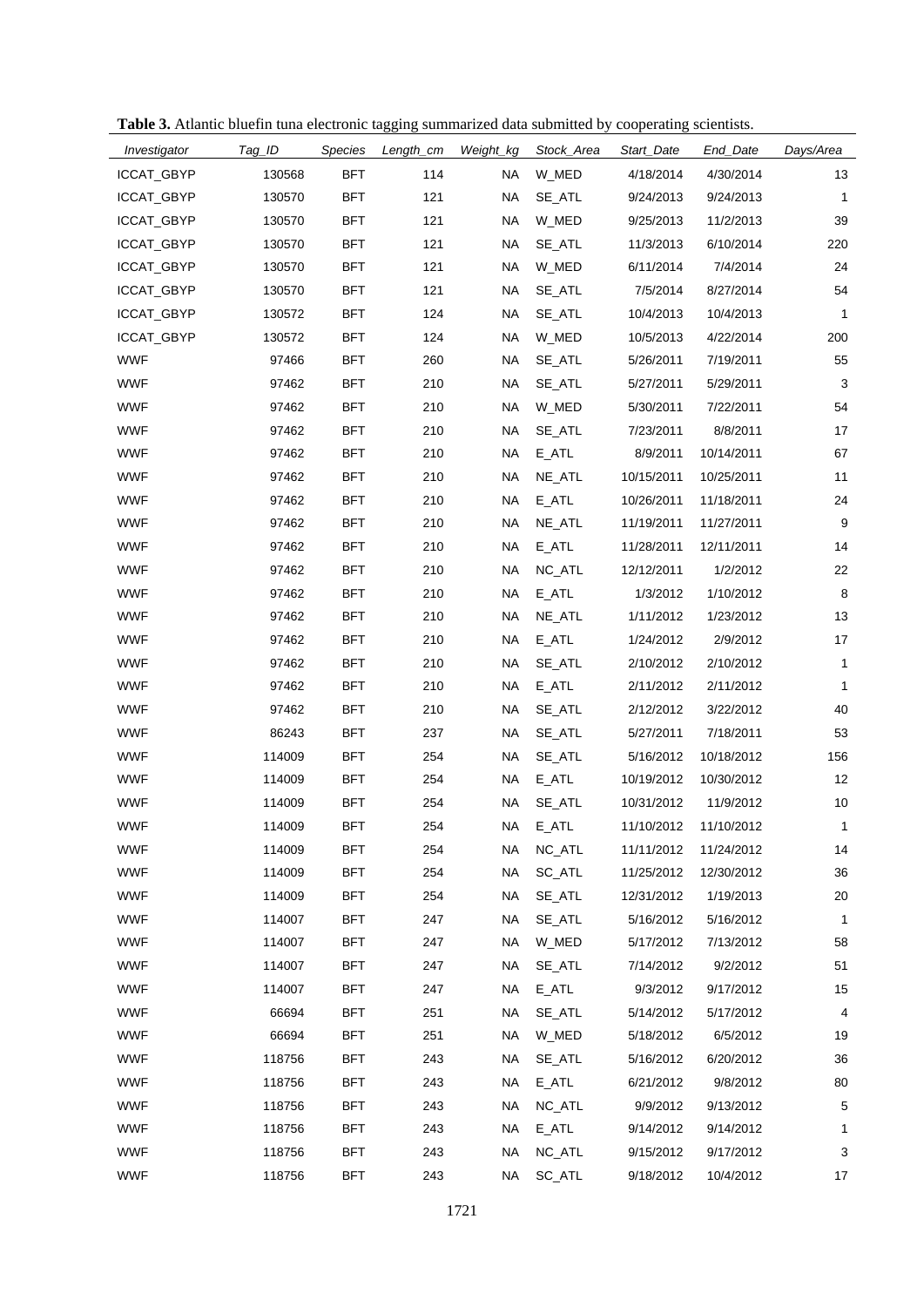| Investigator | Tag_ID | Species    | Length_cm | Weight_kg | Stock_Area | Start_Date | End_Date   | Days/Area    |
|--------------|--------|------------|-----------|-----------|------------|------------|------------|--------------|
| ICCAT_GBYP   | 130568 | <b>BFT</b> | 114       | NA        | W_MED      | 4/18/2014  | 4/30/2014  | 13           |
| ICCAT_GBYP   | 130570 | <b>BFT</b> | 121       | NA        | SE_ATL     | 9/24/2013  | 9/24/2013  | $\mathbf{1}$ |
| ICCAT_GBYP   | 130570 | <b>BFT</b> | 121       | NA        | W_MED      | 9/25/2013  | 11/2/2013  | 39           |
| ICCAT_GBYP   | 130570 | BFT        | 121       | NA        | SE_ATL     | 11/3/2013  | 6/10/2014  | 220          |
| ICCAT_GBYP   | 130570 | <b>BFT</b> | 121       | NA        | W_MED      | 6/11/2014  | 7/4/2014   | 24           |
| ICCAT_GBYP   | 130570 | BFT        | 121       | NA        | SE_ATL     | 7/5/2014   | 8/27/2014  | 54           |
| ICCAT_GBYP   | 130572 | <b>BFT</b> | 124       | <b>NA</b> | SE_ATL     | 10/4/2013  | 10/4/2013  | $\mathbf{1}$ |
| ICCAT_GBYP   | 130572 | BFT        | 124       | NA        | W_MED      | 10/5/2013  | 4/22/2014  | 200          |
| <b>WWF</b>   | 97466  | <b>BFT</b> | 260       | NA        | SE_ATL     | 5/26/2011  | 7/19/2011  | 55           |
| <b>WWF</b>   | 97462  | BFT        | 210       | NA        | SE_ATL     | 5/27/2011  | 5/29/2011  | $\sqrt{3}$   |
| <b>WWF</b>   | 97462  | <b>BFT</b> | 210       | NA        | W_MED      | 5/30/2011  | 7/22/2011  | 54           |
| <b>WWF</b>   | 97462  | <b>BFT</b> | 210       | NA        | SE_ATL     | 7/23/2011  | 8/8/2011   | 17           |
| <b>WWF</b>   | 97462  | <b>BFT</b> | 210       | NA        | E_ATL      | 8/9/2011   | 10/14/2011 | 67           |
| <b>WWF</b>   | 97462  | <b>BFT</b> | 210       | NA        | NE_ATL     | 10/15/2011 | 10/25/2011 | 11           |
| <b>WWF</b>   | 97462  | <b>BFT</b> | 210       | NA        | E_ATL      | 10/26/2011 | 11/18/2011 | 24           |
| <b>WWF</b>   | 97462  | <b>BFT</b> | 210       | NA        | NE_ATL     | 11/19/2011 | 11/27/2011 | 9            |
| <b>WWF</b>   | 97462  | <b>BFT</b> | 210       | NA        | E_ATL      | 11/28/2011 | 12/11/2011 | 14           |
| <b>WWF</b>   | 97462  | BFT        | 210       | NA        | NC_ATL     | 12/12/2011 | 1/2/2012   | 22           |
| <b>WWF</b>   | 97462  | <b>BFT</b> | 210       | <b>NA</b> | $E_ATL$    | 1/3/2012   | 1/10/2012  | 8            |
| <b>WWF</b>   | 97462  | BFT        | 210       | NA        | NE_ATL     | 1/11/2012  | 1/23/2012  | 13           |
| <b>WWF</b>   | 97462  | <b>BFT</b> | 210       | <b>NA</b> | E_ATL      | 1/24/2012  | 2/9/2012   | 17           |
| <b>WWF</b>   | 97462  | BFT        | 210       | NA        | SE_ATL     | 2/10/2012  | 2/10/2012  | $\mathbf{1}$ |
| <b>WWF</b>   | 97462  | <b>BFT</b> | 210       | <b>NA</b> | $E_ATL$    | 2/11/2012  | 2/11/2012  | $\mathbf{1}$ |
| <b>WWF</b>   | 97462  | <b>BFT</b> | 210       | NA        | SE_ATL     | 2/12/2012  | 3/22/2012  | 40           |
| <b>WWF</b>   | 86243  | <b>BFT</b> | 237       | NA        | SE_ATL     | 5/27/2011  | 7/18/2011  | 53           |
| <b>WWF</b>   | 114009 | BFT        | 254       | NA        | SE_ATL     | 5/16/2012  | 10/18/2012 | 156          |
| <b>WWF</b>   | 114009 | <b>BFT</b> | 254       | <b>NA</b> | $E_ATL$    | 10/19/2012 | 10/30/2012 | 12           |
| <b>WWF</b>   | 114009 | BFT        | 254       | NA        | SE_ATL     | 10/31/2012 | 11/9/2012  | 10           |
| <b>WWF</b>   | 114009 | BFT        | 254       | <b>NA</b> | $E_ATL$    | 11/10/2012 | 11/10/2012 | 1            |
| <b>WWF</b>   | 114009 | <b>BFT</b> | 254       | NA        | NC_ATL     | 11/11/2012 | 11/24/2012 | 14           |
| <b>WWF</b>   | 114009 | <b>BFT</b> | 254       | NA        | SC_ATL     | 11/25/2012 | 12/30/2012 | 36           |
| <b>WWF</b>   | 114009 | <b>BFT</b> | 254       | NA        | SE_ATL     | 12/31/2012 | 1/19/2013  | 20           |
| <b>WWF</b>   | 114007 | <b>BFT</b> | 247       | <b>NA</b> | SE_ATL     | 5/16/2012  | 5/16/2012  | 1            |
| <b>WWF</b>   | 114007 | <b>BFT</b> | 247       | <b>NA</b> | W_MED      | 5/17/2012  | 7/13/2012  | 58           |
| <b>WWF</b>   | 114007 | <b>BFT</b> | 247       | <b>NA</b> | SE_ATL     | 7/14/2012  | 9/2/2012   | 51           |
| <b>WWF</b>   | 114007 | <b>BFT</b> | 247       | <b>NA</b> | $E_ATL$    | 9/3/2012   | 9/17/2012  | 15           |
| <b>WWF</b>   | 66694  | <b>BFT</b> | 251       | <b>NA</b> | SE_ATL     | 5/14/2012  | 5/17/2012  | 4            |
| <b>WWF</b>   | 66694  | <b>BFT</b> | 251       | <b>NA</b> | W_MED      | 5/18/2012  | 6/5/2012   | 19           |
| <b>WWF</b>   | 118756 | <b>BFT</b> | 243       | <b>NA</b> | SE_ATL     | 5/16/2012  | 6/20/2012  | 36           |
| <b>WWF</b>   | 118756 | <b>BFT</b> | 243       | <b>NA</b> | E_ATL      | 6/21/2012  | 9/8/2012   | 80           |
| <b>WWF</b>   | 118756 | <b>BFT</b> | 243       | <b>NA</b> | NC_ATL     | 9/9/2012   | 9/13/2012  | 5            |
| <b>WWF</b>   | 118756 | <b>BFT</b> | 243       | <b>NA</b> | $E_ATL$    | 9/14/2012  | 9/14/2012  | 1            |
| <b>WWF</b>   | 118756 | <b>BFT</b> | 243       | <b>NA</b> | NC_ATL     | 9/15/2012  | 9/17/2012  | 3            |
| <b>WWF</b>   | 118756 | <b>BFT</b> | 243       | NA        | SC_ATL     | 9/18/2012  | 10/4/2012  | 17           |

**Table 3.** Atlantic bluefin tuna electronic tagging summarized data submitted by cooperating scientists.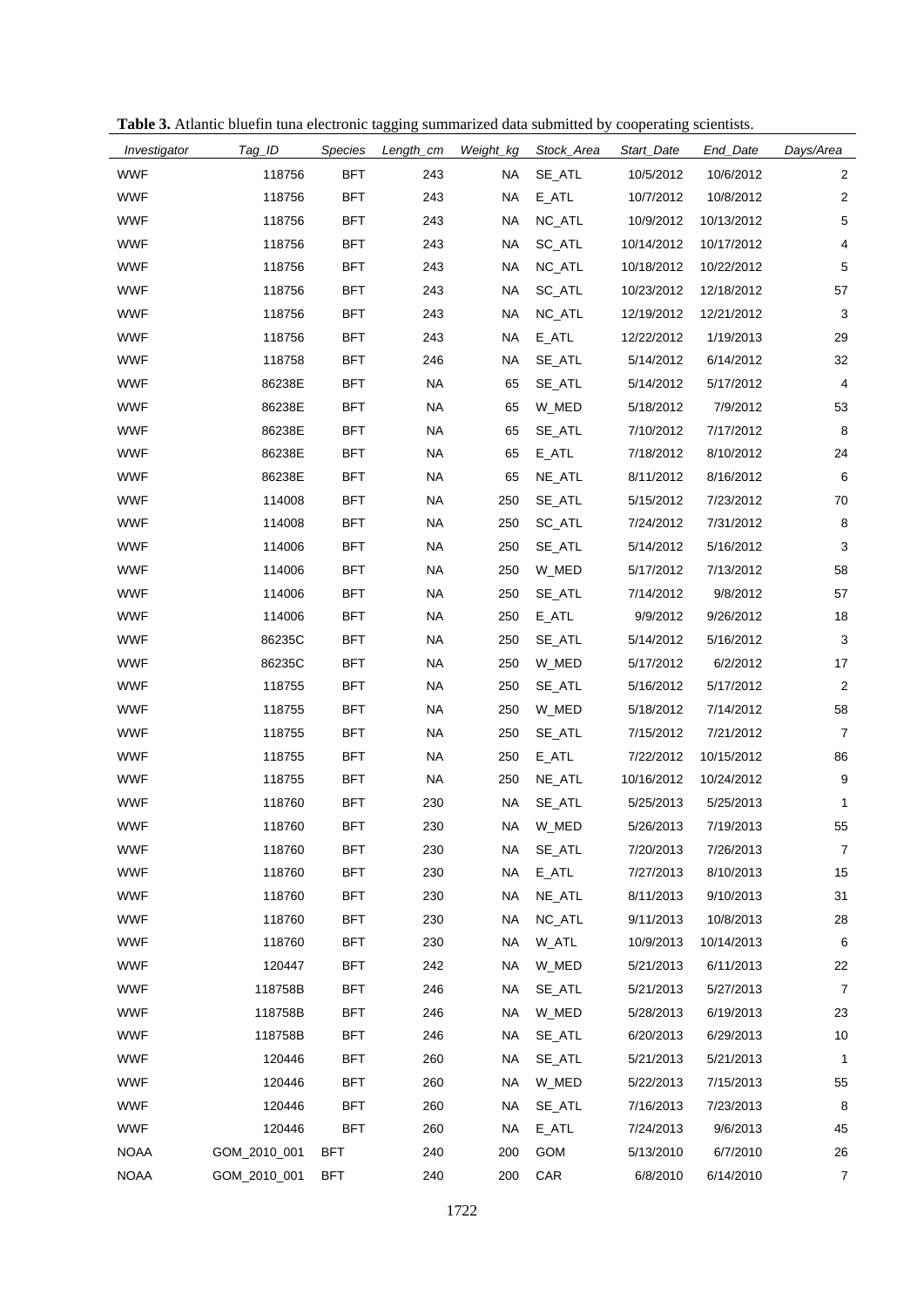| Table 3. Atlantic bluefin tuna electronic tagging summarized data submitted by cooperating scientists |  |  |  |  |
|-------------------------------------------------------------------------------------------------------|--|--|--|--|
|                                                                                                       |  |  |  |  |

| Investigator | Tag_ID       | Species    | Length_cm | Weight_kg | Stock_Area | Start_Date | End_Date   | Days/Area      |
|--------------|--------------|------------|-----------|-----------|------------|------------|------------|----------------|
| <b>WWF</b>   | 118756       | <b>BFT</b> | 243       | <b>NA</b> | SE_ATL     | 10/5/2012  | 10/6/2012  | $\overline{2}$ |
| <b>WWF</b>   | 118756       | <b>BFT</b> | 243       | NA        | E_ATL      | 10/7/2012  | 10/8/2012  | $\overline{c}$ |
| <b>WWF</b>   | 118756       | <b>BFT</b> | 243       | <b>NA</b> | NC_ATL     | 10/9/2012  | 10/13/2012 | $\,$ 5 $\,$    |
| <b>WWF</b>   | 118756       | <b>BFT</b> | 243       | <b>NA</b> | SC_ATL     | 10/14/2012 | 10/17/2012 | 4              |
| <b>WWF</b>   | 118756       | BFT        | 243       | <b>NA</b> | NC_ATL     | 10/18/2012 | 10/22/2012 | 5              |
| <b>WWF</b>   | 118756       | <b>BFT</b> | 243       | <b>NA</b> | SC_ATL     | 10/23/2012 | 12/18/2012 | 57             |
| <b>WWF</b>   | 118756       | <b>BFT</b> | 243       | <b>NA</b> | NC_ATL     | 12/19/2012 | 12/21/2012 | 3              |
| <b>WWF</b>   | 118756       | <b>BFT</b> | 243       | <b>NA</b> | E ATL      | 12/22/2012 | 1/19/2013  | 29             |
| <b>WWF</b>   | 118758       | BFT        | 246       | <b>NA</b> | SE_ATL     | 5/14/2012  | 6/14/2012  | 32             |
| <b>WWF</b>   | 86238E       | <b>BFT</b> | <b>NA</b> | 65        | SE_ATL     | 5/14/2012  | 5/17/2012  | 4              |
| <b>WWF</b>   | 86238E       | <b>BFT</b> | <b>NA</b> | 65        | W_MED      | 5/18/2012  | 7/9/2012   | 53             |
| <b>WWF</b>   | 86238E       | <b>BFT</b> | <b>NA</b> | 65        | SE_ATL     | 7/10/2012  | 7/17/2012  | 8              |
| <b>WWF</b>   | 86238E       | <b>BFT</b> | <b>NA</b> | 65        | E_ATL      | 7/18/2012  | 8/10/2012  | 24             |
| <b>WWF</b>   | 86238E       | <b>BFT</b> | <b>NA</b> | 65        | NE_ATL     | 8/11/2012  | 8/16/2012  | 6              |
| <b>WWF</b>   | 114008       | <b>BFT</b> | <b>NA</b> | 250       | SE_ATL     | 5/15/2012  | 7/23/2012  | 70             |
| <b>WWF</b>   | 114008       | <b>BFT</b> | <b>NA</b> | 250       | SC_ATL     | 7/24/2012  | 7/31/2012  | 8              |
| <b>WWF</b>   | 114006       | <b>BFT</b> | <b>NA</b> | 250       | SE_ATL     | 5/14/2012  | 5/16/2012  | 3              |
| <b>WWF</b>   | 114006       | <b>BFT</b> | <b>NA</b> | 250       | W_MED      | 5/17/2012  | 7/13/2012  | 58             |
| <b>WWF</b>   | 114006       | <b>BFT</b> | <b>NA</b> | 250       | SE_ATL     | 7/14/2012  | 9/8/2012   | 57             |
| <b>WWF</b>   | 114006       | <b>BFT</b> | <b>NA</b> | 250       | E_ATL      | 9/9/2012   | 9/26/2012  | 18             |
| <b>WWF</b>   | 86235C       | <b>BFT</b> | <b>NA</b> | 250       | SE_ATL     | 5/14/2012  | 5/16/2012  | $\mathbf{3}$   |
| <b>WWF</b>   | 86235C       | <b>BFT</b> | <b>NA</b> | 250       | W_MED      | 5/17/2012  | 6/2/2012   | 17             |
| <b>WWF</b>   | 118755       | <b>BFT</b> | <b>NA</b> | 250       | SE_ATL     | 5/16/2012  | 5/17/2012  | $\overline{2}$ |
| <b>WWF</b>   | 118755       | <b>BFT</b> | <b>NA</b> | 250       | W_MED      | 5/18/2012  | 7/14/2012  | 58             |
| <b>WWF</b>   | 118755       | <b>BFT</b> | <b>NA</b> | 250       | SE_ATL     | 7/15/2012  | 7/21/2012  | $\overline{7}$ |
| <b>WWF</b>   | 118755       | <b>BFT</b> | <b>NA</b> | 250       | E_ATL      | 7/22/2012  | 10/15/2012 | 86             |
| <b>WWF</b>   | 118755       | <b>BFT</b> | <b>NA</b> | 250       | NE_ATL     | 10/16/2012 | 10/24/2012 | 9              |
| <b>WWF</b>   | 118760       | <b>BFT</b> | 230       | <b>NA</b> | SE_ATL     | 5/25/2013  | 5/25/2013  | 1              |
| <b>WWF</b>   | 118760       | BFT        | 230       | NA        | W_MED      | 5/26/2013  | 7/19/2013  | 55             |
| <b>WWF</b>   | 118760       | <b>BFT</b> | 230       | <b>NA</b> | SE_ATL     | 7/20/2013  | 7/26/2013  | 7              |
| <b>WWF</b>   | 118760       | <b>BFT</b> | 230       | <b>NA</b> | E_ATL      | 7/27/2013  | 8/10/2013  | 15             |
| <b>WWF</b>   | 118760       | <b>BFT</b> | 230       | <b>NA</b> | NE_ATL     | 8/11/2013  | 9/10/2013  | 31             |
| <b>WWF</b>   | 118760       | BFT        | 230       | ΝA        | NC_ATL     | 9/11/2013  | 10/8/2013  | 28             |
| <b>WWF</b>   | 118760       | <b>BFT</b> | 230       | <b>NA</b> | W_ATL      | 10/9/2013  | 10/14/2013 | 6              |
| <b>WWF</b>   | 120447       | BFT        | 242       | <b>NA</b> | W_MED      | 5/21/2013  | 6/11/2013  | 22             |
| <b>WWF</b>   | 118758B      | <b>BFT</b> | 246       | <b>NA</b> | SE_ATL     | 5/21/2013  | 5/27/2013  | 7              |
| <b>WWF</b>   | 118758B      | BFT        | 246       | <b>NA</b> | W_MED      | 5/28/2013  | 6/19/2013  | 23             |
| <b>WWF</b>   | 118758B      | <b>BFT</b> | 246       | <b>NA</b> | SE_ATL     | 6/20/2013  | 6/29/2013  | 10             |
| <b>WWF</b>   | 120446       | BFT        | 260       | ΝA        | SE_ATL     | 5/21/2013  | 5/21/2013  | 1              |
| <b>WWF</b>   | 120446       | <b>BFT</b> | 260       | <b>NA</b> | W_MED      | 5/22/2013  | 7/15/2013  | 55             |
| <b>WWF</b>   | 120446       | BFT        | 260       | NA        | SE_ATL     | 7/16/2013  | 7/23/2013  | 8              |
| <b>WWF</b>   | 120446       | <b>BFT</b> | 260       | <b>NA</b> | E_ATL      | 7/24/2013  | 9/6/2013   | 45             |
| <b>NOAA</b>  | GOM_2010_001 | BFT        | 240       | 200       | GOM        | 5/13/2010  | 6/7/2010   | 26             |
| <b>NOAA</b>  | GOM_2010_001 | <b>BFT</b> | 240       | 200       | CAR        | 6/8/2010   | 6/14/2010  | 7              |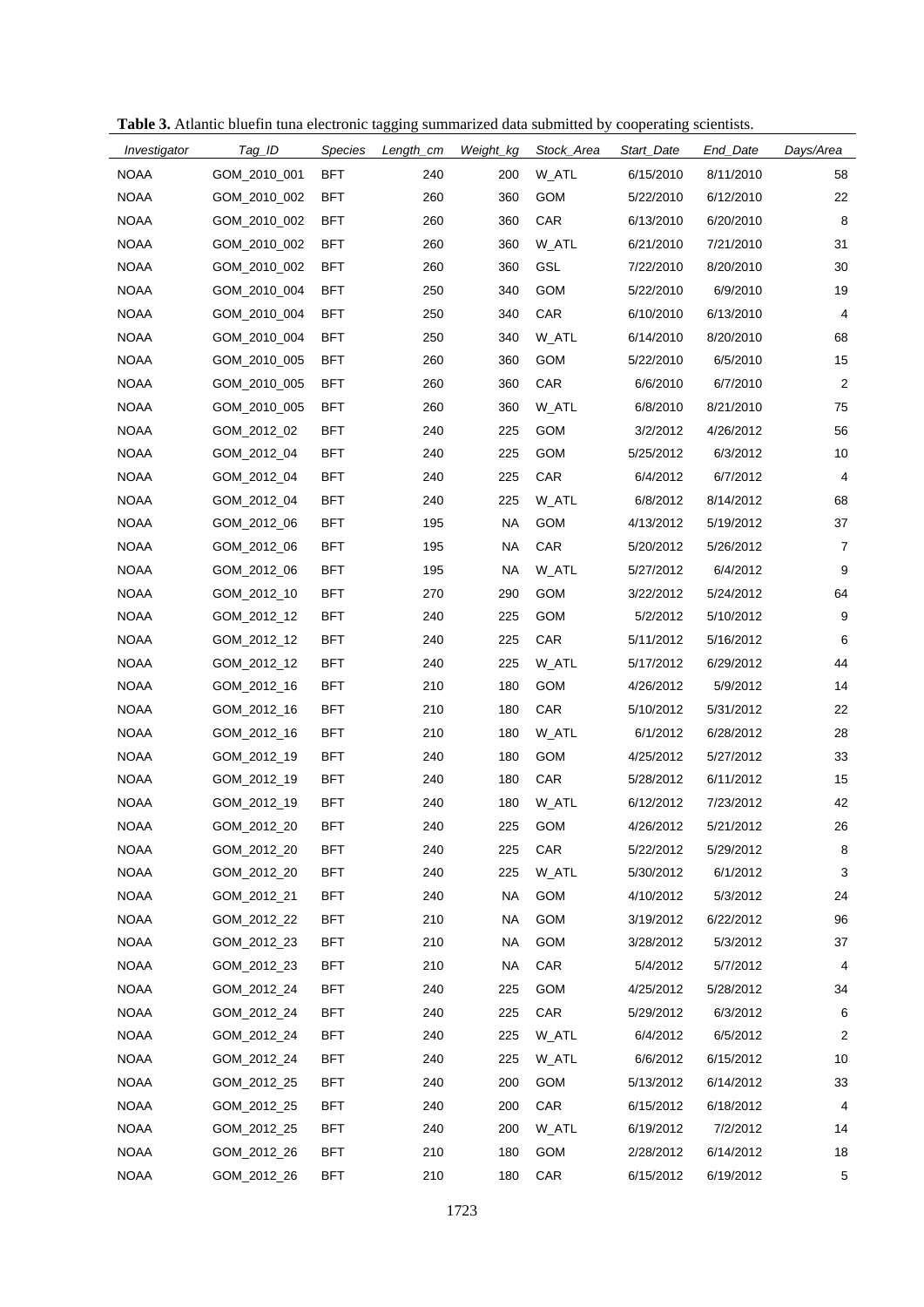|  |  |  | Table 3. Atlantic bluefin tuna electronic tagging summarized data submitted by cooperating scientists. |  |  |  |
|--|--|--|--------------------------------------------------------------------------------------------------------|--|--|--|
|  |  |  |                                                                                                        |  |  |  |

| Investigator | Tag_ID       | <b>Species</b> | Length_cm | Weight_kg | Stock_Area | Start_Date | End_Date  | Days/Area      |
|--------------|--------------|----------------|-----------|-----------|------------|------------|-----------|----------------|
| <b>NOAA</b>  | GOM_2010_001 | <b>BFT</b>     | 240       | 200       | W_ATL      | 6/15/2010  | 8/11/2010 | 58             |
| <b>NOAA</b>  | GOM_2010_002 | <b>BFT</b>     | 260       | 360       | GOM        | 5/22/2010  | 6/12/2010 | 22             |
| <b>NOAA</b>  | GOM 2010 002 | BFT            | 260       | 360       | <b>CAR</b> | 6/13/2010  | 6/20/2010 | 8              |
| <b>NOAA</b>  | GOM_2010_002 | <b>BFT</b>     | 260       | 360       | W_ATL      | 6/21/2010  | 7/21/2010 | 31             |
| <b>NOAA</b>  | GOM_2010_002 | BFT            | 260       | 360       | GSL        | 7/22/2010  | 8/20/2010 | 30             |
| <b>NOAA</b>  | GOM_2010_004 | <b>BFT</b>     | 250       | 340       | <b>GOM</b> | 5/22/2010  | 6/9/2010  | 19             |
| <b>NOAA</b>  | GOM 2010 004 | BFT            | 250       | 340       | CAR        | 6/10/2010  | 6/13/2010 | 4              |
| <b>NOAA</b>  | GOM_2010_004 | <b>BFT</b>     | 250       | 340       | W_ATL      | 6/14/2010  | 8/20/2010 | 68             |
| <b>NOAA</b>  | GOM_2010_005 | BFT            | 260       | 360       | <b>GOM</b> | 5/22/2010  | 6/5/2010  | 15             |
| <b>NOAA</b>  | GOM_2010_005 | BFT            | 260       | 360       | CAR        | 6/6/2010   | 6/7/2010  | 2              |
| <b>NOAA</b>  | GOM_2010_005 | BFT            | 260       | 360       | W_ATL      | 6/8/2010   | 8/21/2010 | 75             |
| <b>NOAA</b>  | GOM_2012_02  | <b>BFT</b>     | 240       | 225       | <b>GOM</b> | 3/2/2012   | 4/26/2012 | 56             |
| <b>NOAA</b>  | GOM_2012_04  | BFT            | 240       | 225       | <b>GOM</b> | 5/25/2012  | 6/3/2012  | 10             |
| <b>NOAA</b>  | GOM_2012_04  | <b>BFT</b>     | 240       | 225       | CAR        | 6/4/2012   | 6/7/2012  | 4              |
| <b>NOAA</b>  | GOM_2012_04  | BFT            | 240       | 225       | W_ATL      | 6/8/2012   | 8/14/2012 | 68             |
| <b>NOAA</b>  | GOM_2012_06  | <b>BFT</b>     | 195       | <b>NA</b> | <b>GOM</b> | 4/13/2012  | 5/19/2012 | 37             |
| <b>NOAA</b>  | GOM_2012_06  | <b>BFT</b>     | 195       | <b>NA</b> | CAR        | 5/20/2012  | 5/26/2012 | $\overline{7}$ |
| <b>NOAA</b>  | GOM_2012_06  | <b>BFT</b>     | 195       | <b>NA</b> | W_ATL      | 5/27/2012  | 6/4/2012  | 9              |
| <b>NOAA</b>  | GOM_2012_10  | BFT            | 270       | 290       | <b>GOM</b> | 3/22/2012  | 5/24/2012 | 64             |
| <b>NOAA</b>  | GOM_2012_12  | <b>BFT</b>     | 240       | 225       | <b>GOM</b> | 5/2/2012   | 5/10/2012 | 9              |
| <b>NOAA</b>  | GOM_2012_12  | <b>BFT</b>     | 240       | 225       | CAR        | 5/11/2012  | 5/16/2012 | 6              |
| <b>NOAA</b>  | GOM_2012_12  | <b>BFT</b>     | 240       | 225       | W_ATL      | 5/17/2012  | 6/29/2012 | 44             |
| <b>NOAA</b>  | GOM_2012_16  | BFT            | 210       | 180       | GOM        | 4/26/2012  | 5/9/2012  | 14             |
| <b>NOAA</b>  | GOM_2012_16  | <b>BFT</b>     | 210       | 180       | CAR        | 5/10/2012  | 5/31/2012 | 22             |
| <b>NOAA</b>  | GOM_2012_16  | BFT            | 210       | 180       | W_ATL      | 6/1/2012   | 6/28/2012 | 28             |
| <b>NOAA</b>  | GOM_2012_19  | <b>BFT</b>     | 240       | 180       | <b>GOM</b> | 4/25/2012  | 5/27/2012 | 33             |
| <b>NOAA</b>  | GOM_2012_19  | BFT            | 240       | 180       | CAR        | 5/28/2012  | 6/11/2012 | 15             |
| <b>NOAA</b>  | GOM_2012_19  | <b>BFT</b>     | 240       | 180       | W_ATL      | 6/12/2012  | 7/23/2012 | 42             |
| <b>NOAA</b>  | GOM_2012_20  | BFT            | 240       | 225       | GOM        | 4/26/2012  | 5/21/2012 | 26             |
| <b>NOAA</b>  | GOM_2012_20  | <b>BFT</b>     | 240       | 225       | CAR        | 5/22/2012  | 5/29/2012 | 8              |
| <b>NOAA</b>  | GOM_2012_20  | <b>BFT</b>     | 240       | 225       | W_ATL      | 5/30/2012  | 6/1/2012  | 3              |
| <b>NOAA</b>  | GOM_2012_21  | <b>BFT</b>     | 240       | <b>NA</b> | <b>GOM</b> | 4/10/2012  | 5/3/2012  | 24             |
| <b>NOAA</b>  | GOM_2012_22  | BFT            | 210       | <b>NA</b> | <b>GOM</b> | 3/19/2012  | 6/22/2012 | 96             |
| <b>NOAA</b>  | GOM_2012_23  | <b>BFT</b>     | 210       | <b>NA</b> | <b>GOM</b> | 3/28/2012  | 5/3/2012  | 37             |
| <b>NOAA</b>  | GOM_2012_23  | BFT            | 210       | <b>NA</b> | CAR        | 5/4/2012   | 5/7/2012  | 4              |
| <b>NOAA</b>  | GOM_2012_24  | <b>BFT</b>     | 240       | 225       | <b>GOM</b> | 4/25/2012  | 5/28/2012 | 34             |
| <b>NOAA</b>  | GOM_2012_24  | <b>BFT</b>     | 240       | 225       | CAR        | 5/29/2012  | 6/3/2012  | 6              |
| <b>NOAA</b>  | GOM_2012_24  | <b>BFT</b>     | 240       | 225       | W_ATL      | 6/4/2012   | 6/5/2012  | 2              |
| <b>NOAA</b>  | GOM_2012_24  | BFT            | 240       | 225       | W_ATL      | 6/6/2012   | 6/15/2012 | 10             |
| <b>NOAA</b>  | GOM_2012_25  | <b>BFT</b>     | 240       | 200       | GOM        | 5/13/2012  | 6/14/2012 | 33             |
| <b>NOAA</b>  | GOM_2012_25  | BFT            | 240       | 200       | CAR        | 6/15/2012  | 6/18/2012 | 4              |
| <b>NOAA</b>  | GOM_2012_25  | <b>BFT</b>     | 240       | 200       | W_ATL      | 6/19/2012  | 7/2/2012  | 14             |
| <b>NOAA</b>  | GOM_2012_26  | <b>BFT</b>     | 210       | 180       | <b>GOM</b> | 2/28/2012  | 6/14/2012 | 18             |
| <b>NOAA</b>  | GOM_2012_26  | <b>BFT</b>     | 210       | 180       | CAR        | 6/15/2012  | 6/19/2012 | 5              |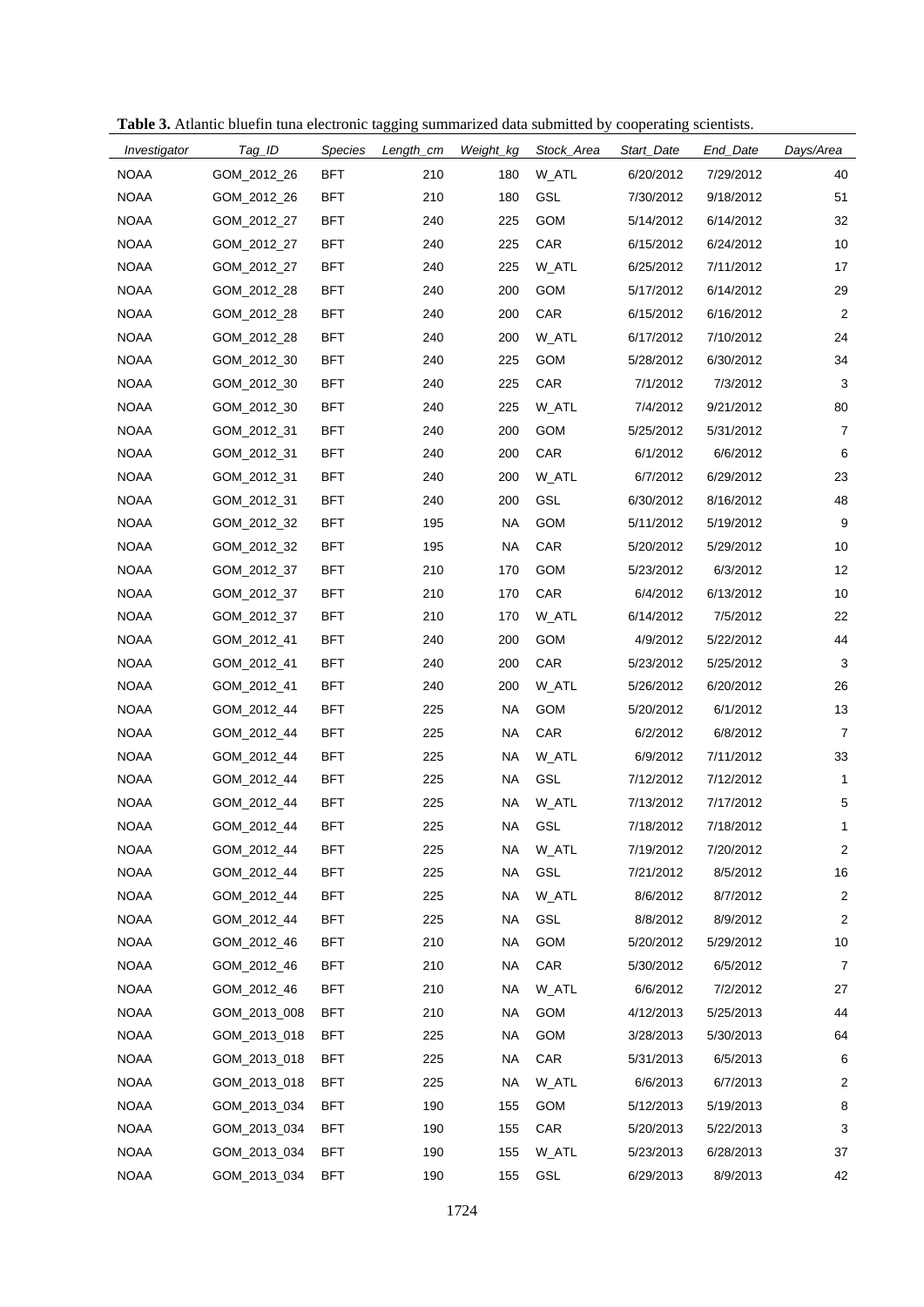| Investigator | Tag_ID       | <b>Species</b> | Length_cm | Weight_kg | Stock_Area | Start_Date | End_Date  | Days/Area      |
|--------------|--------------|----------------|-----------|-----------|------------|------------|-----------|----------------|
| <b>NOAA</b>  | GOM_2012_26  | <b>BFT</b>     | 210       | 180       | W_ATL      | 6/20/2012  | 7/29/2012 | 40             |
| <b>NOAA</b>  | GOM_2012_26  | <b>BFT</b>     | 210       | 180       | GSL        | 7/30/2012  | 9/18/2012 | 51             |
| <b>NOAA</b>  | GOM_2012_27  | <b>BFT</b>     | 240       | 225       | <b>GOM</b> | 5/14/2012  | 6/14/2012 | 32             |
| <b>NOAA</b>  | GOM_2012_27  | <b>BFT</b>     | 240       | 225       | CAR        | 6/15/2012  | 6/24/2012 | 10             |
| <b>NOAA</b>  | GOM_2012_27  | <b>BFT</b>     | 240       | 225       | W_ATL      | 6/25/2012  | 7/11/2012 | 17             |
| <b>NOAA</b>  | GOM_2012_28  | <b>BFT</b>     | 240       | 200       | <b>GOM</b> | 5/17/2012  | 6/14/2012 | 29             |
| <b>NOAA</b>  | GOM_2012_28  | <b>BFT</b>     | 240       | 200       | CAR        | 6/15/2012  | 6/16/2012 | $\overline{2}$ |
| <b>NOAA</b>  | GOM 2012 28  | <b>BFT</b>     | 240       | 200       | W_ATL      | 6/17/2012  | 7/10/2012 | 24             |
| <b>NOAA</b>  | GOM_2012_30  | <b>BFT</b>     | 240       | 225       | <b>GOM</b> | 5/28/2012  | 6/30/2012 | 34             |
| <b>NOAA</b>  | GOM_2012_30  | <b>BFT</b>     | 240       | 225       | CAR        | 7/1/2012   | 7/3/2012  | 3              |
| <b>NOAA</b>  | GOM_2012_30  | <b>BFT</b>     | 240       | 225       | W_ATL      | 7/4/2012   | 9/21/2012 | 80             |
| <b>NOAA</b>  | GOM_2012_31  | <b>BFT</b>     | 240       | 200       | <b>GOM</b> | 5/25/2012  | 5/31/2012 | 7              |
| <b>NOAA</b>  | GOM_2012_31  | <b>BFT</b>     | 240       | 200       | CAR        | 6/1/2012   | 6/6/2012  | 6              |
| <b>NOAA</b>  | GOM_2012_31  | <b>BFT</b>     | 240       | 200       | W ATL      | 6/7/2012   | 6/29/2012 | 23             |
| <b>NOAA</b>  | GOM_2012_31  | <b>BFT</b>     | 240       | 200       | <b>GSL</b> | 6/30/2012  | 8/16/2012 | 48             |
| <b>NOAA</b>  | GOM_2012_32  | <b>BFT</b>     | 195       | <b>NA</b> | <b>GOM</b> | 5/11/2012  | 5/19/2012 | 9              |
| <b>NOAA</b>  | GOM_2012_32  | <b>BFT</b>     | 195       | <b>NA</b> | CAR        | 5/20/2012  | 5/29/2012 | 10             |
| <b>NOAA</b>  | GOM_2012_37  | <b>BFT</b>     | 210       | 170       | <b>GOM</b> | 5/23/2012  | 6/3/2012  | 12             |
| <b>NOAA</b>  | GOM_2012_37  | <b>BFT</b>     | 210       | 170       | CAR        | 6/4/2012   | 6/13/2012 | 10             |
| <b>NOAA</b>  | GOM_2012_37  | <b>BFT</b>     | 210       | 170       | W_ATL      | 6/14/2012  | 7/5/2012  | 22             |
| <b>NOAA</b>  | GOM_2012_41  | <b>BFT</b>     | 240       | 200       | <b>GOM</b> | 4/9/2012   | 5/22/2012 | 44             |
| <b>NOAA</b>  | GOM_2012_41  | <b>BFT</b>     | 240       | 200       | CAR        | 5/23/2012  | 5/25/2012 | 3              |
| <b>NOAA</b>  | GOM_2012_41  | <b>BFT</b>     | 240       | 200       | W_ATL      | 5/26/2012  | 6/20/2012 | 26             |
| <b>NOAA</b>  | GOM_2012_44  | <b>BFT</b>     | 225       | <b>NA</b> | <b>GOM</b> | 5/20/2012  | 6/1/2012  | 13             |
| <b>NOAA</b>  | GOM_2012_44  | <b>BFT</b>     | 225       | <b>NA</b> | CAR        | 6/2/2012   | 6/8/2012  | 7              |
| <b>NOAA</b>  | GOM_2012_44  | <b>BFT</b>     | 225       | <b>NA</b> | W ATL      | 6/9/2012   | 7/11/2012 | 33             |
| <b>NOAA</b>  | GOM_2012_44  | <b>BFT</b>     | 225       | <b>NA</b> | <b>GSL</b> | 7/12/2012  | 7/12/2012 | $\mathbf{1}$   |
| <b>NOAA</b>  | GOM_2012_44  | <b>BFT</b>     | 225       | <b>NA</b> | W_ATL      | 7/13/2012  | 7/17/2012 | 5              |
| <b>NOAA</b>  | GOM 2012 44  | BFT            | 225       | NA        | GSL        | 7/18/2012  | 7/18/2012 | 1              |
| <b>NOAA</b>  | GOM_2012_44  | <b>BFT</b>     | 225       | <b>NA</b> | W_ATL      | 7/19/2012  | 7/20/2012 | $\overline{c}$ |
| <b>NOAA</b>  | GOM_2012_44  | <b>BFT</b>     | 225       | <b>NA</b> | GSL        | 7/21/2012  | 8/5/2012  | 16             |
| <b>NOAA</b>  | GOM_2012_44  | <b>BFT</b>     | 225       | <b>NA</b> | W_ATL      | 8/6/2012   | 8/7/2012  | $\overline{c}$ |
| <b>NOAA</b>  | GOM_2012_44  | <b>BFT</b>     | 225       | <b>NA</b> | <b>GSL</b> | 8/8/2012   | 8/9/2012  | $\overline{2}$ |
| <b>NOAA</b>  | GOM 2012 46  | <b>BFT</b>     | 210       | <b>NA</b> | GOM        | 5/20/2012  | 5/29/2012 | 10             |
| <b>NOAA</b>  | GOM_2012_46  | <b>BFT</b>     | 210       | <b>NA</b> | CAR        | 5/30/2012  | 6/5/2012  | $\overline{7}$ |
| <b>NOAA</b>  | GOM_2012_46  | <b>BFT</b>     | 210       | <b>NA</b> | W_ATL      | 6/6/2012   | 7/2/2012  | 27             |
| <b>NOAA</b>  | GOM_2013_008 | <b>BFT</b>     | 210       | <b>NA</b> | GOM        | 4/12/2013  | 5/25/2013 | 44             |
| <b>NOAA</b>  | GOM_2013_018 | <b>BFT</b>     | 225       | <b>NA</b> | GOM        | 3/28/2013  | 5/30/2013 | 64             |
| <b>NOAA</b>  | GOM_2013_018 | <b>BFT</b>     | 225       | <b>NA</b> | CAR        | 5/31/2013  | 6/5/2013  | 6              |
| <b>NOAA</b>  | GOM_2013_018 | <b>BFT</b>     | 225       | <b>NA</b> | W_ATL      | 6/6/2013   | 6/7/2013  | $\overline{c}$ |
| <b>NOAA</b>  | GOM_2013_034 | <b>BFT</b>     | 190       | 155       | GOM        | 5/12/2013  | 5/19/2013 | 8              |
| <b>NOAA</b>  | GOM_2013_034 | <b>BFT</b>     | 190       | 155       | CAR        | 5/20/2013  | 5/22/2013 | 3              |
| <b>NOAA</b>  | GOM_2013_034 | <b>BFT</b>     | 190       | 155       | W_ATL      | 5/23/2013  | 6/28/2013 | 37             |
| <b>NOAA</b>  | GOM_2013_034 | <b>BFT</b>     | 190       | 155       | GSL        | 6/29/2013  | 8/9/2013  | 42             |

**Table 3.** Atlantic bluefin tuna electronic tagging summarized data submitted by cooperating scientists.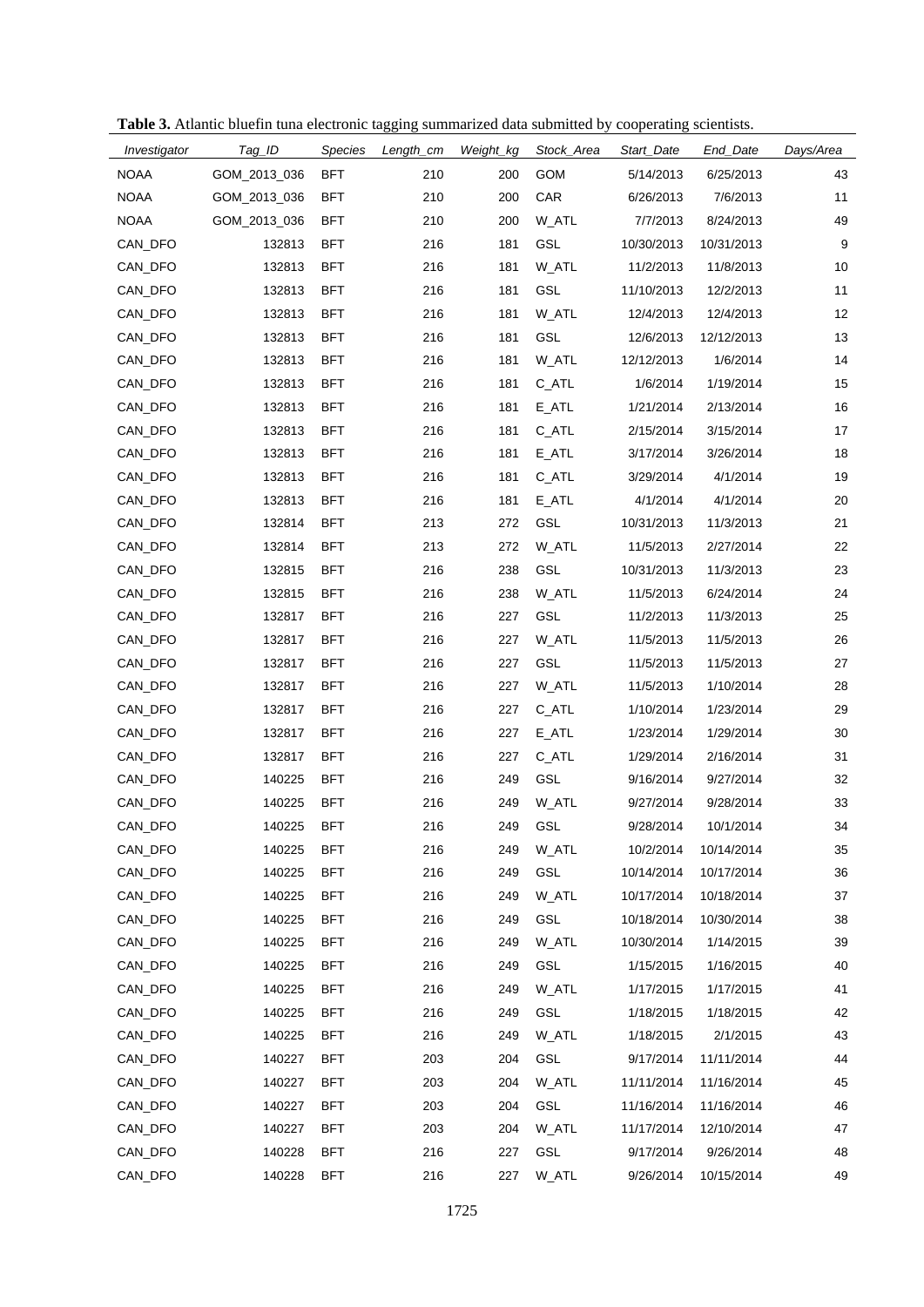| Table 3. Atlantic bluefin tuna electronic tagging summarized data submitted by cooperating scientists. |  |
|--------------------------------------------------------------------------------------------------------|--|

| Investigator | Tag_ID       | Species    | Length_cm | Weight_kg | Stock_Area | Start_Date | End_Date   | Days/Area |
|--------------|--------------|------------|-----------|-----------|------------|------------|------------|-----------|
| <b>NOAA</b>  | GOM_2013_036 | <b>BFT</b> | 210       | 200       | GOM        | 5/14/2013  | 6/25/2013  | 43        |
| <b>NOAA</b>  | GOM_2013_036 | <b>BFT</b> | 210       | 200       | CAR        | 6/26/2013  | 7/6/2013   | 11        |
| <b>NOAA</b>  | GOM_2013_036 | <b>BFT</b> | 210       | 200       | W_ATL      | 7/7/2013   | 8/24/2013  | 49        |
| CAN_DFO      | 132813       | <b>BFT</b> | 216       | 181       | GSL        | 10/30/2013 | 10/31/2013 | 9         |
| CAN_DFO      | 132813       | <b>BFT</b> | 216       | 181       | W_ATL      | 11/2/2013  | 11/8/2013  | 10        |
| CAN_DFO      | 132813       | <b>BFT</b> | 216       | 181       | GSL        | 11/10/2013 | 12/2/2013  | 11        |
| CAN_DFO      | 132813       | <b>BFT</b> | 216       | 181       | W ATL      | 12/4/2013  | 12/4/2013  | 12        |
| CAN_DFO      | 132813       | <b>BFT</b> | 216       | 181       | <b>GSL</b> | 12/6/2013  | 12/12/2013 | 13        |
| CAN_DFO      | 132813       | <b>BFT</b> | 216       | 181       | W_ATL      | 12/12/2013 | 1/6/2014   | 14        |
| CAN_DFO      | 132813       | <b>BFT</b> | 216       | 181       | $C$ $ATL$  | 1/6/2014   | 1/19/2014  | 15        |
| CAN_DFO      | 132813       | <b>BFT</b> | 216       | 181       | $E_ATL$    | 1/21/2014  | 2/13/2014  | 16        |
| CAN_DFO      | 132813       | <b>BFT</b> | 216       | 181       | $C$ $ATL$  | 2/15/2014  | 3/15/2014  | 17        |
| CAN DFO      | 132813       | <b>BFT</b> | 216       | 181       | E_ATL      | 3/17/2014  | 3/26/2014  | 18        |
| CAN_DFO      | 132813       | <b>BFT</b> | 216       | 181       | $C$ $ATL$  | 3/29/2014  | 4/1/2014   | 19        |
| CAN_DFO      | 132813       | <b>BFT</b> | 216       | 181       | $E_ATL$    | 4/1/2014   | 4/1/2014   | 20        |
| CAN_DFO      | 132814       | <b>BFT</b> | 213       | 272       | GSL        | 10/31/2013 | 11/3/2013  | 21        |
| CAN DFO      | 132814       | <b>BFT</b> | 213       | 272       | W_ATL      | 11/5/2013  | 2/27/2014  | 22        |
| CAN_DFO      | 132815       | <b>BFT</b> | 216       | 238       | GSL        | 10/31/2013 | 11/3/2013  | 23        |
| CAN_DFO      | 132815       | <b>BFT</b> | 216       | 238       | W_ATL      | 11/5/2013  | 6/24/2014  | 24        |
| CAN_DFO      | 132817       | <b>BFT</b> | 216       | 227       | GSL        | 11/2/2013  | 11/3/2013  | 25        |
| CAN_DFO      | 132817       | <b>BFT</b> | 216       | 227       | W_ATL      | 11/5/2013  | 11/5/2013  | 26        |
| CAN_DFO      | 132817       | <b>BFT</b> | 216       | 227       | GSL        | 11/5/2013  | 11/5/2013  | 27        |
| CAN_DFO      | 132817       | <b>BFT</b> | 216       | 227       | W_ATL      | 11/5/2013  | 1/10/2014  | 28        |
| CAN_DFO      | 132817       | <b>BFT</b> | 216       | 227       | $C$ $ATL$  | 1/10/2014  | 1/23/2014  | 29        |
| CAN_DFO      | 132817       | <b>BFT</b> | 216       | 227       | $E_ATL$    | 1/23/2014  | 1/29/2014  | 30        |
| CAN_DFO      | 132817       | <b>BFT</b> | 216       | 227       | $C$ $ATL$  | 1/29/2014  | 2/16/2014  | 31        |
| CAN_DFO      | 140225       | <b>BFT</b> | 216       | 249       | GSL        | 9/16/2014  | 9/27/2014  | 32        |
| CAN_DFO      | 140225       | <b>BFT</b> | 216       | 249       | W_ATL      | 9/27/2014  | 9/28/2014  | 33        |
| CAN_DFO      | 140225       | <b>BFT</b> | 216       | 249       | GSL        | 9/28/2014  | 10/1/2014  | 34        |
| CAN_DFO      | 140225       | <b>BFT</b> | 216       | 249       | W_ATL      | 10/2/2014  | 10/14/2014 | 35        |
| CAN_DFO      | 140225       | <b>BFT</b> | 216       | 249       | GSL        | 10/14/2014 | 10/17/2014 | 36        |
| CAN_DFO      | 140225       | <b>BFT</b> | 216       | 249       | W_ATL      | 10/17/2014 | 10/18/2014 | 37        |
| CAN_DFO      | 140225       | <b>BFT</b> | 216       | 249       | <b>GSL</b> | 10/18/2014 | 10/30/2014 | 38        |
| CAN_DFO      | 140225       | <b>BFT</b> | 216       | 249       | W_ATL      | 10/30/2014 | 1/14/2015  | 39        |
| CAN_DFO      | 140225       | <b>BFT</b> | 216       | 249       | <b>GSL</b> | 1/15/2015  | 1/16/2015  | 40        |
| CAN_DFO      | 140225       | <b>BFT</b> | 216       | 249       | W_ATL      | 1/17/2015  | 1/17/2015  | 41        |
| CAN DFO      | 140225       | <b>BFT</b> | 216       | 249       | <b>GSL</b> | 1/18/2015  | 1/18/2015  | 42        |
| CAN_DFO      | 140225       | <b>BFT</b> | 216       | 249       | W_ATL      | 1/18/2015  | 2/1/2015   | 43        |
| CAN_DFO      | 140227       | <b>BFT</b> | 203       | 204       | GSL        | 9/17/2014  | 11/11/2014 | 44        |
| CAN_DFO      | 140227       | <b>BFT</b> | 203       | 204       | W_ATL      | 11/11/2014 | 11/16/2014 | 45        |
| CAN_DFO      | 140227       | <b>BFT</b> | 203       | 204       | <b>GSL</b> | 11/16/2014 | 11/16/2014 | 46        |
| CAN_DFO      | 140227       | <b>BFT</b> | 203       | 204       | W_ATL      | 11/17/2014 | 12/10/2014 | 47        |
| CAN_DFO      | 140228       | <b>BFT</b> | 216       | 227       | GSL        | 9/17/2014  | 9/26/2014  | 48        |
| CAN_DFO      | 140228       | <b>BFT</b> | 216       | 227       | W_ATL      | 9/26/2014  | 10/15/2014 | 49        |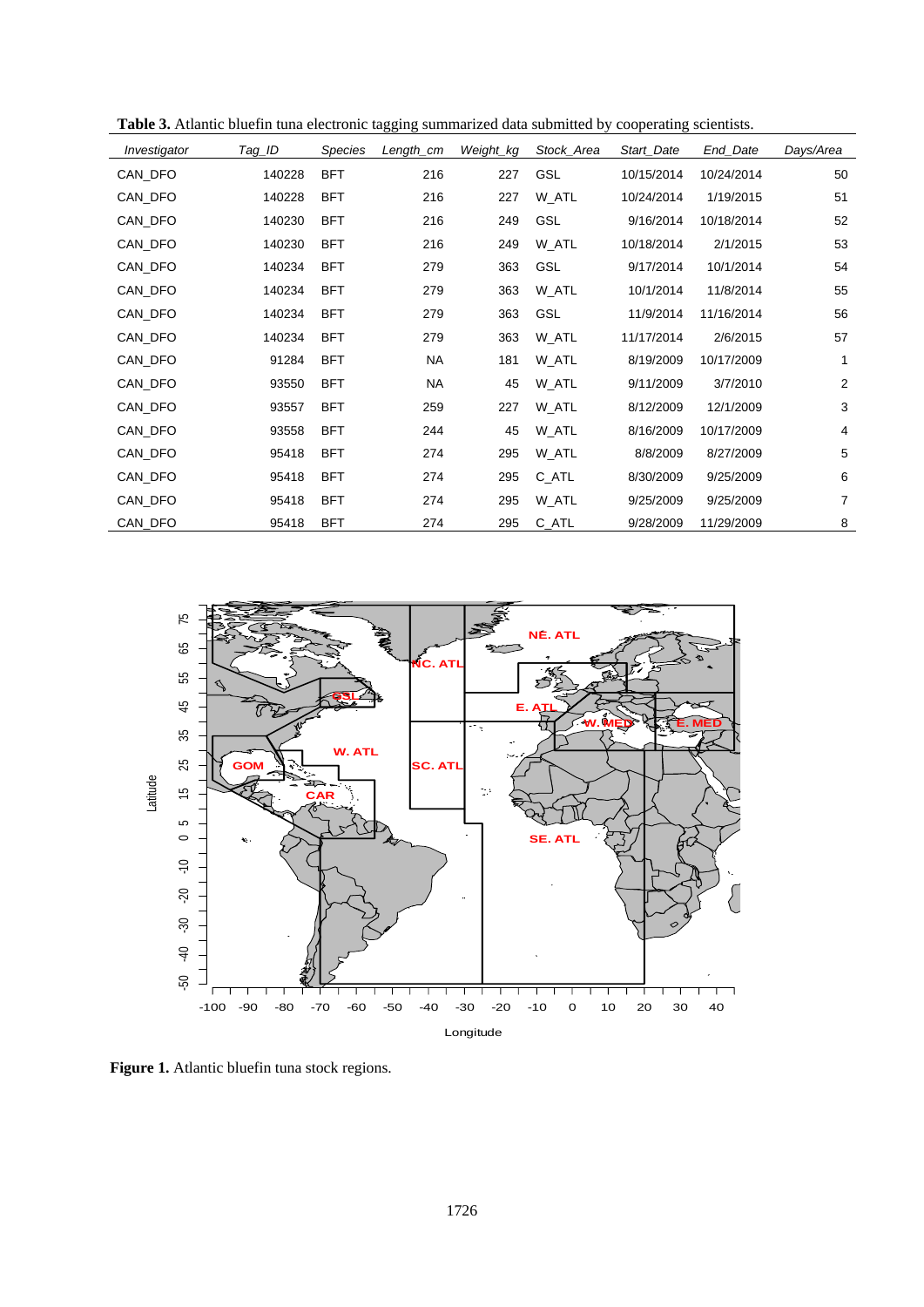| Investigator | Tag_ID | <b>Species</b> | Length_cm | Weight_kg | Stock_Area | Start_Date | End_Date   | Days/Area |
|--------------|--------|----------------|-----------|-----------|------------|------------|------------|-----------|
| CAN_DFO      | 140228 | <b>BFT</b>     | 216       | 227       | <b>GSL</b> | 10/15/2014 | 10/24/2014 | 50        |
| CAN_DFO      | 140228 | <b>BFT</b>     | 216       | 227       | W_ATL      | 10/24/2014 | 1/19/2015  | 51        |
| CAN_DFO      | 140230 | <b>BFT</b>     | 216       | 249       | <b>GSL</b> | 9/16/2014  | 10/18/2014 | 52        |
| CAN_DFO      | 140230 | <b>BFT</b>     | 216       | 249       | W_ATL      | 10/18/2014 | 2/1/2015   | 53        |
| CAN_DFO      | 140234 | <b>BFT</b>     | 279       | 363       | GSL        | 9/17/2014  | 10/1/2014  | 54        |
| CAN_DFO      | 140234 | <b>BFT</b>     | 279       | 363       | W_ATL      | 10/1/2014  | 11/8/2014  | 55        |
| CAN_DFO      | 140234 | <b>BFT</b>     | 279       | 363       | <b>GSL</b> | 11/9/2014  | 11/16/2014 | 56        |
| CAN_DFO      | 140234 | <b>BFT</b>     | 279       | 363       | W_ATL      | 11/17/2014 | 2/6/2015   | 57        |
| CAN_DFO      | 91284  | <b>BFT</b>     | <b>NA</b> | 181       | W_ATL      | 8/19/2009  | 10/17/2009 | 1         |
| CAN_DFO      | 93550  | <b>BFT</b>     | <b>NA</b> | 45        | W_ATL      | 9/11/2009  | 3/7/2010   | 2         |
| CAN_DFO      | 93557  | <b>BFT</b>     | 259       | 227       | W_ATL      | 8/12/2009  | 12/1/2009  | 3         |
| CAN_DFO      | 93558  | <b>BFT</b>     | 244       | 45        | W_ATL      | 8/16/2009  | 10/17/2009 | 4         |
| CAN_DFO      | 95418  | <b>BFT</b>     | 274       | 295       | W_ATL      | 8/8/2009   | 8/27/2009  | 5         |
| CAN DFO      | 95418  | <b>BFT</b>     | 274       | 295       | C_ATL      | 8/30/2009  | 9/25/2009  | 6         |
| CAN_DFO      | 95418  | <b>BFT</b>     | 274       | 295       | W_ATL      | 9/25/2009  | 9/25/2009  | 7         |
| CAN_DFO      | 95418  | <b>BFT</b>     | 274       | 295       | $C$ $ATL$  | 9/28/2009  | 11/29/2009 | 8         |

**Table 3.** Atlantic bluefin tuna electronic tagging summarized data submitted by cooperating scientists.



**Figure 1.** Atlantic bluefin tuna stock regions.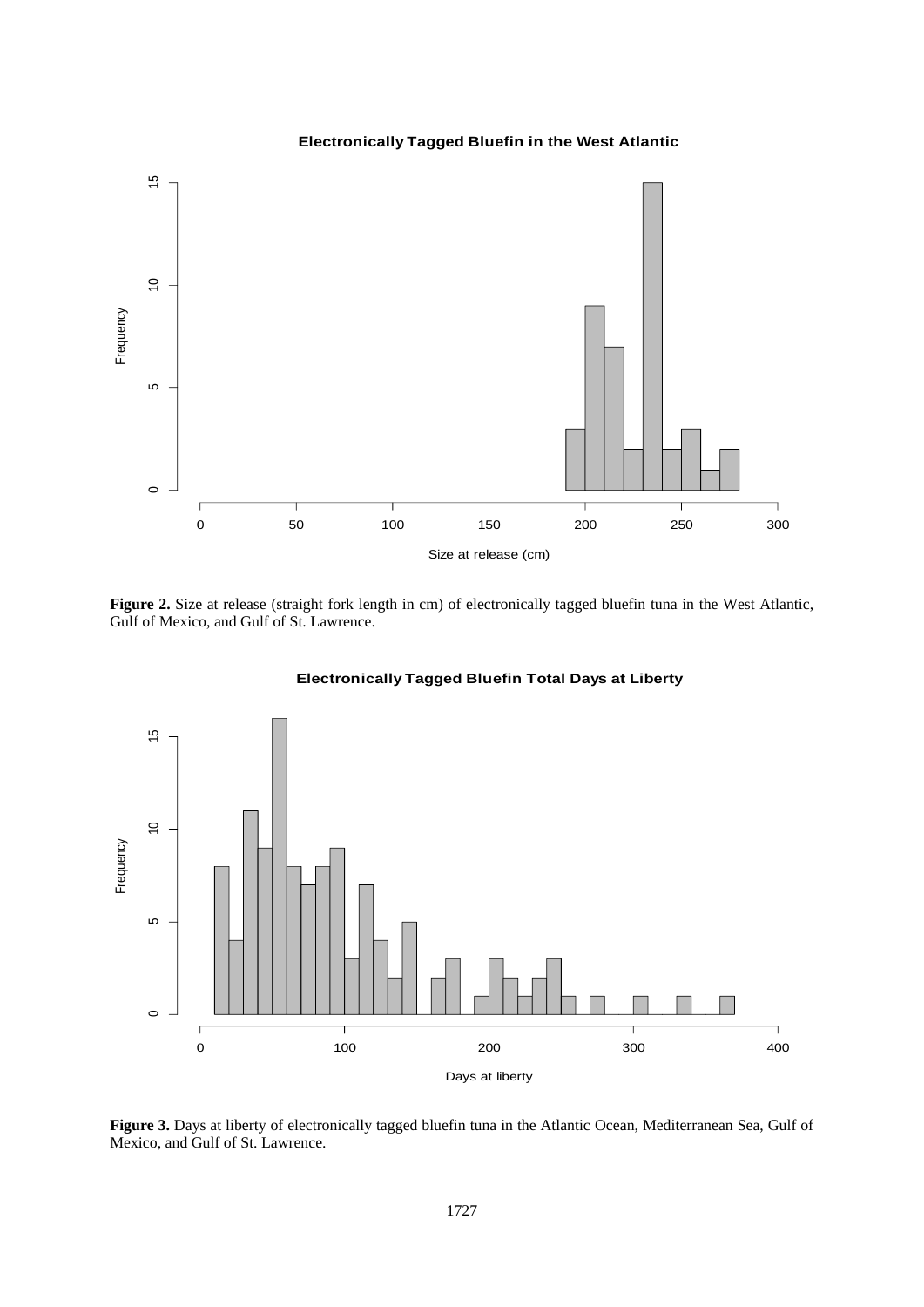

**Electronically Tagged Bluefin in the West Atlantic**

Figure 2. Size at release (straight fork length in cm) of electronically tagged bluefin tuna in the West Atlantic, Gulf of Mexico, and Gulf of St. Lawrence.



# **Electronically Tagged Bluefin Total Days at Liberty**

**Figure 3.** Days at liberty of electronically tagged bluefin tuna in the Atlantic Ocean, Mediterranean Sea, Gulf of Mexico, and Gulf of St. Lawrence.